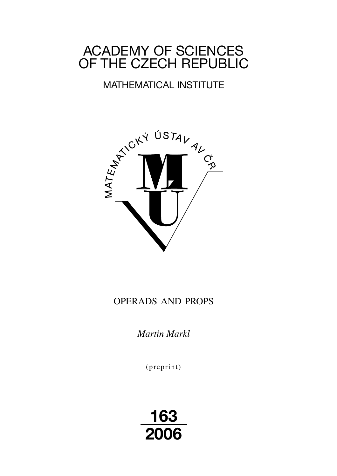# ACADEMY OF SCIENCES OF THE CZECH REPUBLIC

## MATHEMATICAL INSTITUTE



### OPERADS AND PROPS

*Martin Markl*

(preprint)

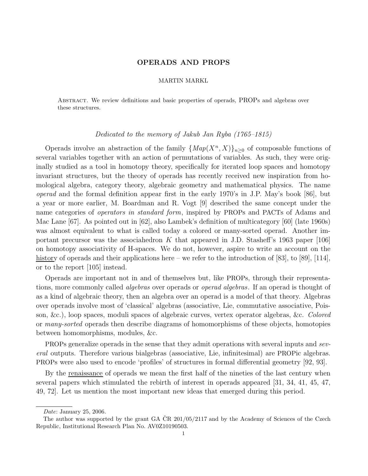#### OPERADS AND PROPS

#### MARTIN MARKL

Abstract. We review definitions and basic properties of operads, PROPs and algebras over these structures.

#### Dedicated to the memory of Jakub Jan Ryba (1765–1815)

Operads involve an abstraction of the family  $\{Map(X^n, X)\}_{n\geq 0}$  of composable functions of several variables together with an action of permutations of variables. As such, they were originally studied as a tool in homotopy theory, specifically for iterated loop spaces and homotopy invariant structures, but the theory of operads has recently received new inspiration from homological algebra, category theory, algebraic geometry and mathematical physics. The name operad and the formal definition appear first in the early 1970's in J.P. May's book [86], but a year or more earlier, M. Boardman and R. Vogt [9] described the same concept under the name categories of operators in standard form, inspired by PROPs and PACTs of Adams and Mac Lane [67]. As pointed out in [62], also Lambek's definition of multicategory [60] (late 1960s) was almost equivalent to what is called today a colored or many-sorted operad. Another important precursor was the associahedron K that appeared in J.D. Stasheff's 1963 paper [106] on homotopy associativity of H-spaces. We do not, however, aspire to write an account on the history of operads and their applications here – we refer to the introduction of [83], to [89], [114], or to the report [105] instead.

Operads are important not in and of themselves but, like PROPs, through their representations, more commonly called *algebras* over operads or *operad algebras*. If an operad is thought of as a kind of algebraic theory, then an algebra over an operad is a model of that theory. Algebras over operads involve most of 'classical' algebras (associative, Lie, commutative associative, Poisson, &c.), loop spaces, moduli spaces of algebraic curves, vertex operator algebras, &c. Colored or many-sorted operads then describe diagrams of homomorphisms of these objects, homotopies between homomorphisms, modules, &c.

PROPs generalize operads in the sense that they admit operations with several inputs and several outputs. Therefore various bialgebras (associative, Lie, infinitesimal) are PROPic algebras. PROPs were also used to encode 'profiles' of structures in formal differential geometry [92, 93].

By the renaissance of operads we mean the first half of the nineties of the last century when several papers which stimulated the rebirth of interest in operads appeared [31, 34, 41, 45, 47, 49, 72]. Let us mention the most important new ideas that emerged during this period.

Date: January 25, 2006.

The author was supported by the grant GA  $\rm \check{C}R$  201/05/2117 and by the Academy of Sciences of the Czech Republic, Institutional Research Plan No. AV0Z10190503.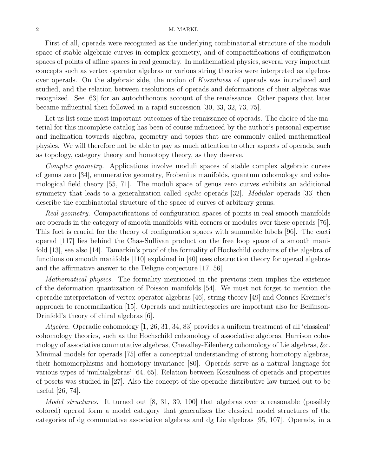#### 2 M. MARKL

First of all, operads were recognized as the underlying combinatorial structure of the moduli space of stable algebraic curves in complex geometry, and of compactifications of configuration spaces of points of affine spaces in real geometry. In mathematical physics, several very important concepts such as vertex operator algebras or various string theories were interpreted as algebras over operads. On the algebraic side, the notion of Koszulness of operads was introduced and studied, and the relation between resolutions of operads and deformations of their algebras was recognized. See [63] for an autochthonous account of the renaissance. Other papers that later became influential then followed in a rapid succession [30, 33, 32, 73, 75].

Let us list some most important outcomes of the renaissance of operads. The choice of the material for this incomplete catalog has been of course influenced by the author's personal expertise and inclination towards algebra, geometry and topics that are commonly called mathematical physics. We will therefore not be able to pay as much attention to other aspects of operads, such as topology, category theory and homotopy theory, as they deserve.

Complex geometry. Applications involve moduli spaces of stable complex algebraic curves of genus zero [34], enumerative geometry, Frobenius manifolds, quantum cohomology and cohomological field theory [55, 71]. The moduli space of genus zero curves exhibits an additional symmetry that leads to a generalization called *cyclic* operads [32]. *Modular* operads [33] then describe the combinatorial structure of the space of curves of arbitrary genus.

Real geometry. Compactifications of configuration spaces of points in real smooth manifolds are operads in the category of smooth manifolds with corners or modules over these operads [76]. This fact is crucial for the theory of configuration spaces with summable labels [96]. The cacti operad [117] lies behind the Chas-Sullivan product on the free loop space of a smooth manifold [13], see also [14]. Tamarkin's proof of the formality of Hochschild cochains of the algebra of functions on smooth manifolds [110] explained in [40] uses obstruction theory for operad algebras and the affirmative answer to the Deligne conjecture [17, 56].

Mathematical physics. The formality mentioned in the previous item implies the existence of the deformation quantization of Poisson manifolds [54]. We must not forget to mention the operadic interpretation of vertex operator algebras [46], string theory [49] and Connes-Kreimer's approach to renormalization [15]. Operads and multicategories are important also for Beilinson-Drinfeld's theory of chiral algebras [6].

Algebra. Operadic cohomology [1, 26, 31, 34, 83] provides a uniform treatment of all 'classical' cohomology theories, such as the Hochschild cohomology of associative algebras, Harrison cohomology of associative commutative algebras, Chevalley-Eilenberg cohomology of Lie algebras, &c. Minimal models for operads [75] offer a conceptual understanding of strong homotopy algebras, their homomorphisms and homotopy invariance [80]. Operads serve as a natural language for various types of 'multialgebras' [64, 65]. Relation between Koszulness of operads and properties of posets was studied in [27]. Also the concept of the operadic distributive law turned out to be useful [26, 74].

Model structures. It turned out [8, 31, 39, 100] that algebras over a reasonable (possibly colored) operad form a model category that generalizes the classical model structures of the categories of dg commutative associative algebras and dg Lie algebras [95, 107]. Operads, in a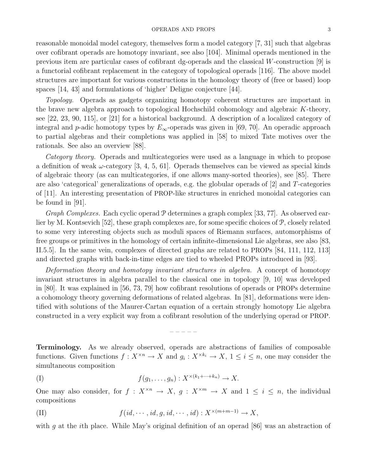reasonable monoidal model category, themselves form a model category [7, 31] such that algebras over cofibrant operads are homotopy invariant, see also [104]. Minimal operads mentioned in the previous item are particular cases of cofibrant dg-operads and the classical W-construction [9] is a functorial cofibrant replacement in the category of topological operads [116]. The above model structures are important for various constructions in the homology theory of (free or based) loop spaces [14, 43] and formulations of 'higher' Deligne conjecture [44].

Topology. Operads as gadgets organizing homotopy coherent structures are important in the brave new algebra approach to topological Hochschild cohomology and algebraic K-theory, see [22, 23, 90, 115], or [21] for a historical background. A description of a localized category of integral and p-adic homotopy types by  $E_{\infty}$ -operads was given in [69, 70]. An operadic approach to partial algebras and their completions was applied in [58] to mixed Tate motives over the rationals. See also an overview [88].

Category theory. Operads and multicategories were used as a language in which to propose a definition of weak  $\omega$ -category [3, 4, 5, 61]. Operads themselves can be viewed as special kinds of algebraic theory (as can multicategories, if one allows many-sorted theories), see [85]. There are also 'categorical' generalizations of operads, e.g. the globular operads of [2] and T-categories of [11]. An interesting presentation of PROP-like structures in enriched monoidal categories can be found in [91].

Graph Complexes. Each cyclic operad  $\mathcal P$  determines a graph complex [33, 77]. As observed earlier by M. Kontsevich [52], these graph complexes are, for some specific choices of P, closely related to some very interesting objects such as moduli spaces of Riemann surfaces, automorphisms of free groups or primitives in the homology of certain infinite-dimensional Lie algebras, see also [83, II.5.5]. In the same vein, complexes of directed graphs are related to PROPs [84, 111, 112, 113] and directed graphs with back-in-time edges are tied to wheeled PROPs introduced in [93].

Deformation theory and homotopy invariant structures in algebra. A concept of homotopy invariant structures in algebra parallel to the classical one in topology [9, 10] was developed in [80]. It was explained in [56, 73, 79] how cofibrant resolutions of operads or PROPs determine a cohomology theory governing deformations of related algebras. In [81], deformations were identified with solutions of the Maurer-Cartan equation of a certain strongly homotopy Lie algebra constructed in a very explicit way from a cofibrant resolution of the underlying operad or PROP.

Terminology. As we already observed, operads are abstractions of families of composable functions. Given functions  $f: X^{\times n} \to X$  and  $g_i: X^{\times k_i} \to X$ ,  $1 \leq i \leq n$ , one may consider the simultaneous composition

– – – – –

$$
(I) \t f(g_1,\ldots,g_n): X^{\times (k_1+\cdots+k_n)} \to X.
$$

One may also consider, for  $f: X^{\times n} \to X$ ,  $g: X^{\times m} \to X$  and  $1 \leq i \leq n$ , the individual compositions

(II) 
$$
f(id, \dots, id, g, id, \dots, id) : X^{\times (m+m-1)} \to X
$$
,

with g at the *i*th place. While May's original definition of an operad [86] was an abstraction of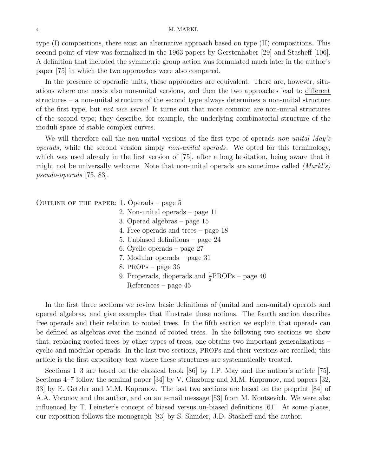type (I) compositions, there exist an alternative approach based on type (II) compositions. This second point of view was formalized in the 1963 papers by Gerstenhaber [29] and Stasheff [106]. A definition that included the symmetric group action was formulated much later in the author's paper [75] in which the two approaches were also compared.

In the presence of operadic units, these approaches are equivalent. There are, however, situations where one needs also non-unital versions, and then the two approaches lead to different structures – a non-unital structure of the second type always determines a non-unital structure of the first type, but not vice versa! It turns out that more common are non-unital structures of the second type; they describe, for example, the underlying combinatorial structure of the moduli space of stable complex curves.

We will therefore call the non-unital versions of the first type of operads non-unital May's operads, while the second version simply non-unital operads. We opted for this terminology, which was used already in the first version of [75], after a long hesitation, being aware that it might not be universally welcome. Note that non-unital operads are sometimes called  $(Mark's)$ pseudo-operads [75, 83].

OUTLINE OF THE PAPER: 1. Operads – page  $5$ 

- 2. Non-unital operads page 11
- 3. Operad algebras page 15
- 4. Free operads and trees page 18
- 5. Unbiased definitions page 24
- 6. Cyclic operads page 27
- 7. Modular operads page 31
- 8. PROPs page 36
- 9. Properads, dioperads and  $\frac{1}{2}$ PROPs page 40 References – page 45

In the first three sections we review basic definitions of (unital and non-unital) operads and operad algebras, and give examples that illustrate these notions. The fourth section describes free operads and their relation to rooted trees. In the fifth section we explain that operads can be defined as algebras over the monad of rooted trees. In the following two sections we show that, replacing rooted trees by other types of trees, one obtains two important generalizations – cyclic and modular operads. In the last two sections, PROPs and their versions are recalled; this article is the first expository text where these structures are systematically treated.

Sections 1–3 are based on the classical book [86] by J.P. May and the author's article [75]. Sections 4–7 follow the seminal paper [34] by V. Ginzburg and M.M. Kapranov, and papers [32, 33] by E. Getzler and M.M. Kapranov. The last two sections are based on the preprint [84] of A.A. Voronov and the author, and on an e-mail message [53] from M. Kontsevich. We were also influenced by T. Leinster's concept of biased versus un-biased definitions [61]. At some places, our exposition follows the monograph [83] by S. Shnider, J.D. Stasheff and the author.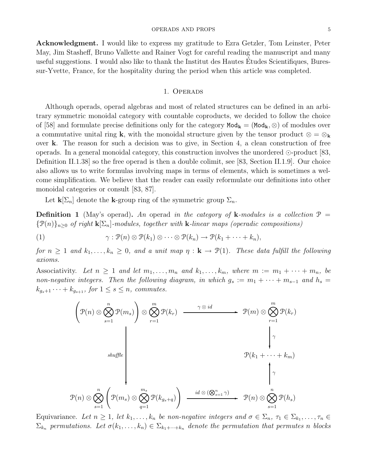Acknowledgment. I would like to express my gratitude to Ezra Getzler, Tom Leinster, Peter May, Jim Stasheff, Bruno Vallette and Rainer Vogt for careful reading the manuscript and many useful suggestions. I would also like to thank the Institut des Hautes Etudes Scientifiques, Buressur-Yvette, France, for the hospitality during the period when this article was completed.

#### 1. Operads

Although operads, operad algebras and most of related structures can be defined in an arbitrary symmetric monoidal category with countable coproducts, we decided to follow the choice of [58] and formulate precise definitions only for the category  $Mod_k = (Mod_k, \otimes)$  of modules over a commutative unital ring k, with the monoidal structure given by the tensor product  $\otimes = \otimes_{\bf k}$ over k. The reason for such a decision was to give, in Section 4, a clean construction of free operads. In a general monoidal category, this construction involves the unordered  $\odot$ -product [83, Definition II.1.38] so the free operad is then a double colimit, see [83, Section II.1.9]. Our choice also allows us to write formulas involving maps in terms of elements, which is sometimes a welcome simplification. We believe that the reader can easily reformulate our definitions into other monoidal categories or consult [83, 87].

Let  $\mathbf{k}[\Sigma_n]$  denote the k-group ring of the symmetric group  $\Sigma_n$ .

**Definition 1** (May's operad). An operad in the category of **k**-modules is a collection  $\mathcal{P} =$  ${\mathcal{P}(n)}_{n\geq 0}$  of right  ${\mathbf k}[\Sigma_n]$ -modules, together with **k**-linear maps (operadic compositions)

(1) 
$$
\gamma : \mathcal{P}(n) \otimes \mathcal{P}(k_1) \otimes \cdots \otimes \mathcal{P}(k_n) \to \mathcal{P}(k_1 + \cdots + k_n),
$$

for  $n \geq 1$  and  $k_1, \ldots, k_n \geq 0$ , and a unit map  $\eta : \mathbf{k} \to \mathcal{P}(1)$ . These data fulfill the following axioms.

Associativity. Let  $n \geq 1$  and let  $m_1, \ldots, m_n$  and  $k_1, \ldots, k_m$ , where  $m := m_1 + \cdots + m_n$ , be non-negative integers. Then the following diagram, in which  $g_s := m_1 + \cdots + m_{s-1}$  and  $h_s =$  $k_{g_s+1}\cdots+k_{g_{s+1}}$ , for  $1\leq s\leq n$ , commutes.

$$
\left(\mathcal{P}(n) \otimes \bigotimes_{s=1}^{n} \mathcal{P}(m_s)\right) \otimes \bigotimes_{r=1}^{m} \mathcal{P}(k_r) \xrightarrow{\gamma \otimes id} \mathcal{P}(m) \otimes \bigotimes_{r=1}^{m} \mathcal{P}(k_r)
$$
\nsubject to the following inequality:

\n
$$
\mathcal{P}(n) \otimes \bigotimes_{s=1}^{n} \left(\mathcal{P}(m_s) \otimes \bigotimes_{q=1}^{m_s} \mathcal{P}(k_{g_s+q})\right) \xrightarrow{id \otimes (\bigotimes_{s=1}^{n} \gamma)} \mathcal{P}(n) \otimes \bigotimes_{s=1}^{n} \mathcal{P}(h_s)
$$

Equivariance. Let  $n \geq 1$ , let  $k_1, \ldots, k_n$  be non-negative integers and  $\sigma \in \Sigma_n$ ,  $\tau_1 \in \Sigma_{k_1}, \ldots, \tau_n \in$  $\Sigma_{k_n}$  permutations. Let  $\sigma(k_1,\ldots,k_n) \in \Sigma_{k_1+\cdots+k_n}$  denote the permutation that permutes n blocks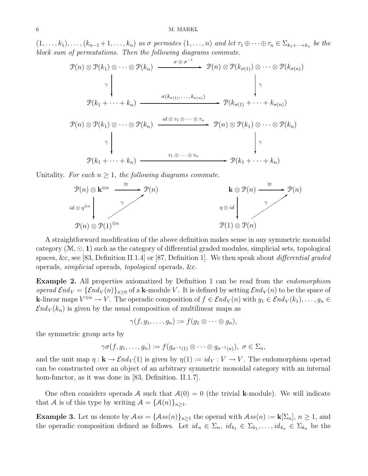#### 6 M. MARKL

 $(1,\ldots,k_1),\ldots,(k_{n-1}+1,\ldots,k_n)$  as  $\sigma$  permutes  $(1,\ldots,n)$  and let  $\tau_1\oplus\cdots\oplus\tau_n\in\Sigma_{k_1+\cdots+k_n}$  be the block sum of permutations. Then the following diagrams commute.



Unitality. For each  $n \geq 1$ , the following diagrams commute.



A straightforward modification of the above definition makes sense in any symmetric monoidal category  $(\mathcal{M}, \odot, \mathbf{1})$  such as the category of differential graded modules, simplicial sets, topological spaces, &c, see [83, Definition II.1.4] or [87, Definition 1]. We then speak about differential graded operads, simplicial operads, topological operads, &c.

Example 2. All properties axiomatized by Definition 1 can be read from the endomorphism operad  $\mathcal{E}nd_V = {\mathcal{E}nd_V(n)}_{n\geq 0}$  of a k-module V. It is defined by setting  $\mathcal{E}nd_V(n)$  to be the space of **k**-linear maps  $V^{\otimes n} \to V$ . The operadic composition of  $f \in \mathcal{E}nd_V(n)$  with  $g_1 \in \mathcal{E}nd_V(k_1), \ldots, g_n \in$  $\mathcal{E}nd_V(k_n)$  is given by the usual composition of multilinear maps as

 $\gamma(f, q_1, \ldots, q_n) := f(q_1 \otimes \cdots \otimes q_n).$ 

the symmetric group acts by

$$
\gamma\sigma(f,g_1,\ldots,g_n):=f(g_{\sigma^{-1}(1)}\otimes\cdots\otimes g_{\sigma^{-1}(n)}),\,\,\sigma\in\Sigma_n,
$$

and the unit map  $\eta : \mathbf{k} \to \mathcal{E} nd_V(1)$  is given by  $\eta(1) := id_V : V \to V$ . The endomorphism operad can be constructed over an object of an arbitrary symmetric monoidal category with an internal hom-functor, as it was done in [83, Definition. II.1.7].

One often considers operads A such that  $A(0) = 0$  (the trivial k-module). We will indicate that A is of this type by writing  $A = {\mathcal{A}(n)}_{n \geq 1}$ .

**Example 3.** Let us denote by  $\mathcal{A}ss = {\mathcal{A}ss(n)}_{n\geq 1}$  the operad with  $\mathcal{A}ss(n) := \mathbf{k}[\Sigma_n], n \geq 1$ , and the operadic composition defined as follows. Let  $id_n \in \Sigma_n$ ,  $id_{k_1} \in \Sigma_{k_1}, \ldots, id_{k_n} \in \Sigma_{k_n}$  be the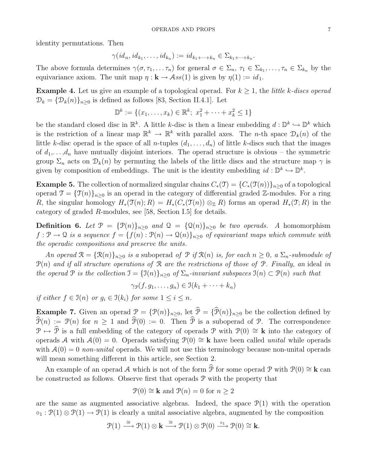identity permutations. Then

$$
\gamma(id_n, id_{k_1}, \ldots, id_{k_n}) := id_{k_1 + \cdots + k_n} \in \Sigma_{k_1 + \cdots + k_n}.
$$

The above formula determines  $\gamma(\sigma, \tau_1, \ldots, \tau_n)$  for general  $\sigma \in \Sigma_n$ ,  $\tau_1 \in \Sigma_{k_1}, \ldots, \tau_n \in \Sigma_{k_n}$  by the equivariance axiom. The unit map  $\eta : \mathbf{k} \to \mathcal{A}ss(1)$  is given by  $\eta(1) := id_1$ .

**Example 4.** Let us give an example of a topological operad. For  $k \geq 1$ , the *little k-discs operad*  $\mathcal{D}_k = {\mathcal{D}_k(n)}_{n\geq 0}$  is defined as follows [83, Section II.4.1]. Let

$$
\mathbb{D}^{k} := \{(x_1, \ldots, x_k) \in \mathbb{R}^{k}; \ x_1^2 + \cdots + x_k^2 \le 1\}
$$

be the standard closed disc in  $\mathbb{R}^k$ . A little k-disc is then a linear embedding  $d: \mathbb{D}^k \hookrightarrow \mathbb{D}^k$  which is the restriction of a linear map  $\mathbb{R}^k \to \mathbb{R}^k$  with parallel axes. The *n*-th space  $\mathcal{D}_k(n)$  of the little k-disc operad is the space of all n-tuples  $(d_1, \ldots, d_n)$  of little k-discs such that the images of  $d_1, \ldots, d_n$  have mutually disjoint interiors. The operad structure is obvious – the symmetric group  $\Sigma_n$  acts on  $\mathcal{D}_k(n)$  by permuting the labels of the little discs and the structure map  $\gamma$  is given by composition of embeddings. The unit is the identity embedding  $id: \mathbb{D}^k \hookrightarrow \mathbb{D}^k$ .

**Example 5.** The collection of normalized singular chains  $C_*(\mathfrak{T}) = \{C_*(\mathfrak{T}(n))\}_{n\geq 0}$  of a topological operad  $\mathcal{T} = {\{\mathcal{T}(n)\}}_{n\geq 0}$  is an operad in the category of differential graded Z-modules. For a ring R, the singular homology  $H_*(\mathfrak{T}(n); R) = H_*(C_*(\mathfrak{T}(n)) \otimes_{\mathbb{Z}} R)$  forms an operad  $H_*(\mathfrak{T}; R)$  in the category of graded R-modules, see [58, Section I.5] for details.

**Definition 6.** Let  $\mathcal{P} = {\mathcal{P}(n)}_{n>0}$  and  $\mathcal{Q} = {\mathcal{Q}(n)}_{n>0}$  be two operads. A homomorphism  $f: \mathcal{P} \to \mathcal{Q}$  is a sequence  $f = \{f(n): \mathcal{P}(n) \to \mathcal{Q}(n)\}\$ <sub>n>0</sub> of equivariant maps which commute with the operadic compositions and preserve the units.

An operad  $\mathcal{R} = {\mathcal{R}(n)}_{n\geq 0}$  is a suboperad of  $\mathcal{P}$  if  $\mathcal{R}(n)$  is, for each  $n \geq 0$ , a  $\Sigma_n$ -submodule of  $\mathcal{P}(n)$  and if all structure operations of R are the restrictions of those of P. Finally, an ideal in the operad P is the collection  $\mathfrak{I} = {\mathfrak{I}(n)}_{n>0}$  of  $\Sigma_n$ -invariant subspaces  $\mathfrak{I}(n) \subset \mathfrak{P}(n)$  such that

$$
\gamma_{\mathcal{P}}(f,g_1,\ldots,g_n)\in \mathfrak{I}(k_1+\cdots+k_n)
$$

if either  $f \in \mathfrak{I}(n)$  or  $g_i \in \mathfrak{I}(k_i)$  for some  $1 \leq i \leq n$ .

**Example 7.** Given an operad  $\mathcal{P} = {\mathcal{P}(n)}_{n\geq 0}$ , let  $\widehat{\mathcal{P}} = {\widehat{\mathcal{P}}(n)}_{n\geq 0}$  be the collection defined by  $\widehat{\mathcal{P}}(n) := \mathcal{P}(n)$  for  $n \geq 1$  and  $\widehat{\mathcal{P}}(0) := 0$ . Then  $\widehat{\mathcal{P}}$  is a suboperad of  $\mathcal{P}$ . The correspondence P  $\mapsto$  P is a full embedding of the category of operads P with P(0)  $\cong$  k into the category of operads A with  $A(0) = 0$ . Operads satisfying  $\mathcal{P}(0) \cong \mathbf{k}$  have been called *unital* while operads with  $A(0) = 0$  non-unital operads. We will not use this terminology because non-unital operads will mean something different in this article, see Section 2.

An example of an operad A which is not of the form  $\hat{\mathcal{P}}$  for some operad P with  $\mathcal{P}(0) \cong \mathbf{k}$  can be constructed as follows. Observe first that operads P with the property that

$$
\mathcal{P}(0) \cong \mathbf{k}
$$
 and  $\mathcal{P}(n) = 0$  for  $n \ge 2$ 

are the same as augmented associative algebras. Indeed, the space  $\mathcal{P}(1)$  with the operation  $\circ_1 : \mathcal{P}(1) \otimes \mathcal{P}(1) \to \mathcal{P}(1)$  is clearly a unital associative algebra, augmented by the composition

$$
\mathcal{P}(1) \stackrel{\cong}{\longrightarrow} \mathcal{P}(1) \otimes \mathbf{k} \stackrel{\cong}{\longrightarrow} \mathcal{P}(1) \otimes \mathcal{P}(0) \stackrel{\circ_1}{\longrightarrow} \mathcal{P}(0) \cong \mathbf{k}.
$$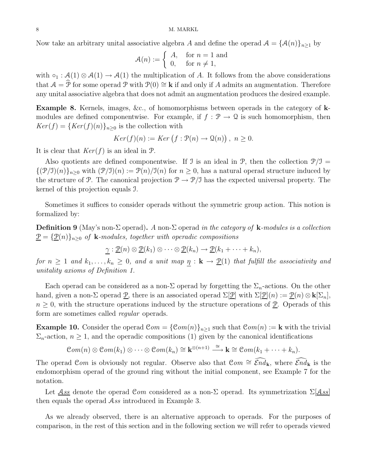Now take an arbitrary unital associative algebra A and define the operad  $A = {\mathcal{A}(n)}_{n>1}$  by

$$
\mathcal{A}(n) := \begin{cases} A, & \text{for } n = 1 \text{ and} \\ 0, & \text{for } n \neq 1, \end{cases}
$$

with  $\circ_1 : \mathcal{A}(1) \otimes \mathcal{A}(1) \to \mathcal{A}(1)$  the multiplication of A. It follows from the above considerations that  $A = \mathcal{P}$  for some operad  $\mathcal{P}$  with  $\mathcal{P}(0) \cong \mathbf{k}$  if and only if A admits an augmentation. Therefore any unital associative algebra that does not admit an augmentation produces the desired example.

Example 8. Kernels, images, &c., of homomorphisms between operads in the category of kmodules are defined componentwise. For example, if  $f : \mathcal{P} \to \mathcal{Q}$  is such homomorphism, then  $Ker(f) = {Ker(f)(n)}_{n\geq 0}$  is the collection with

$$
Ker(f)(n) := Ker(f: \mathcal{P}(n) \to \mathcal{Q}(n)), \ n \ge 0.
$$

It is clear that  $Ker(f)$  is an ideal in  $\mathcal{P}$ .

Also quotients are defined componentwise. If J is an ideal in  $\mathcal{P}$ , then the collection  $\mathcal{P}/\mathcal{I} =$  $\{(\mathcal{P}/\mathcal{I})(n)\}_{n\geq 0}$  with  $(\mathcal{P}/\mathcal{I})(n) := \mathcal{P}(n)/\mathcal{I}(n)$  for  $n \geq 0$ , has a natural operad structure induced by the structure of P. The canonical projection  $\mathcal{P} \to \mathcal{P}/\mathcal{I}$  has the expected universal property. The kernel of this projection equals I.

Sometimes it suffices to consider operads without the symmetric group action. This notion is formalized by:

**Definition 9** (May's non- $\Sigma$  operad). A non- $\Sigma$  operad in the category of **k**-modules is a collection  $\underline{\mathcal{P}} = {\underline{\mathcal{P}}(n)}_{n>0}$  of **k**-modules, together with operadic compositions

$$
\underline{\gamma} : \underline{\mathcal{P}}(n) \otimes \underline{\mathcal{P}}(k_1) \otimes \cdots \otimes \underline{\mathcal{P}}(k_n) \longrightarrow \underline{\mathcal{P}}(k_1 + \cdots + k_n),
$$

for  $n \geq 1$  and  $k_1, \ldots, k_n \geq 0$ , and a unit map  $\eta : \mathbf{k} \to \underline{\mathcal{P}}(1)$  that fulfill the associativity and unitality axioms of Definition 1.

Each operad can be considered as a non- $\Sigma$  operad by forgetting the  $\Sigma_n$ -actions. On the other hand, given a non-Σ operad  $\underline{P}$ , there is an associated operad  $\Sigma[\underline{P}]$  with  $\Sigma[\underline{P}(n) := \underline{P}(n) \otimes \mathbf{k}[\Sigma_n]$ ,  $n \geq 0$ , with the structure operations induced by the structure operations of P. Operads of this form are sometimes called *regular* operads.

**Example 10.** Consider the operad  $\mathcal{C}om = {\mathcal{C}om(n)}_{n>1}$  such that  $\mathcal{C}om(n) := \mathbf{k}$  with the trivial  $\Sigma_n$ -action,  $n \geq 1$ , and the operadic compositions (1) given by the canonical identifications

$$
\mathcal{C}om(n)\otimes \mathcal{C}om(k_1)\otimes \cdots \otimes \mathcal{C}om(k_n)\cong \mathbf{k}^{\otimes (n+1)}\stackrel{\cong}{\longrightarrow} \mathbf{k}\cong \mathcal{C}om(k_1+\cdots+k_n).
$$

The operad Com is obviously not regular. Observe also that  $Com \cong \widehat{End}_{k}$ , where  $\widehat{End}_{k}$  is the endomorphism operad of the ground ring without the initial component, see Example 7 for the notation.

Let <u>Ass</u> denote the operad Com considered as a non-Σ operad. Its symmetrization  $\Sigma$ [Ass] then equals the operad Ass introduced in Example 3.

As we already observed, there is an alternative approach to operads. For the purposes of comparison, in the rest of this section and in the following section we will refer to operads viewed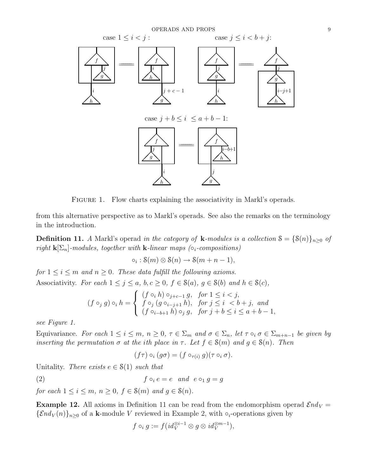

FIGURE 1. Flow charts explaining the associativity in Markl's operads.

from this alternative perspective as to Markl's operads. See also the remarks on the terminology in the introduction.

**Definition 11.** A Markl's operad in the category of **k**-modules is a collection  $S = \{S(n)\}_{n>0}$  of right  $\mathbf{k}[\Sigma_n]$ -modules, together with **k**-linear maps ( $\circ_i$ -compositions)

 $\circ_i : \mathcal{S}(m) \otimes \mathcal{S}(n) \to \mathcal{S}(m+n-1),$ 

for  $1 \leq i \leq m$  and  $n \geq 0$ . These data fulfill the following axioms. Associativity. For each  $1 \leq j \leq a$ ,  $b, c \geq 0$ ,  $f \in \mathcal{S}(a)$ ,  $g \in \mathcal{S}(b)$  and  $h \in \mathcal{S}(c)$ ,

$$
(f\circ_j g)\circ_i h=\left\{\begin{array}{ll} (f\circ_i h)\circ_{j+c-1}g,~~for~1\leq i
$$

see Figure 1.

Equivariance. For each  $1 \leq i \leq m$ ,  $n \geq 0$ ,  $\tau \in \Sigma_m$  and  $\sigma \in \Sigma_n$ , let  $\tau \circ_i \sigma \in \Sigma_{m+n-1}$  be given by inserting the permutation  $\sigma$  at the ith place in  $\tau$ . Let  $f \in \mathcal{S}(m)$  and  $g \in \mathcal{S}(n)$ . Then

$$
(f\tau) \circ_i (g\sigma) = (f \circ_{\tau(i)} g)(\tau \circ_i \sigma).
$$

Unitality. There exists  $e \in \mathcal{S}(1)$  such that

(2)  $f \circ_i e = e \quad and \quad e \circ_1 g = g$ 

for each  $1 \leq i \leq m$ ,  $n \geq 0$ ,  $f \in \mathcal{S}(m)$  and  $g \in \mathcal{S}(n)$ .

**Example 12.** All axioms in Definition 11 can be read from the endomorphism operad  $\mathcal{E}nd_V =$  ${\mathcal{E}} nd_V(n)_{n\geq 0}$  of a k-module V reviewed in Example 2, with  $\circ_i$ -operations given by

$$
f\circ_i g:=f(id_V^{\otimes i-1}\otimes g\otimes id_V^{\otimes m-1}),
$$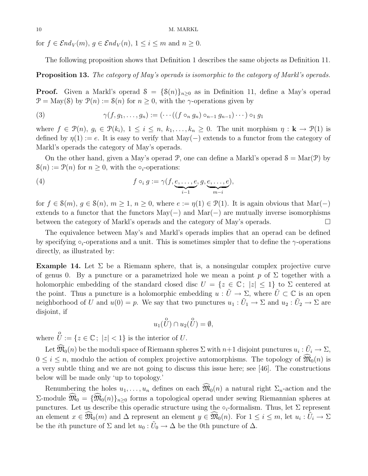for  $f \in \mathcal{E}nd_V(m)$ ,  $g \in \mathcal{E}nd_V(n)$ ,  $1 \leq i \leq m$  and  $n \geq 0$ .

The following proposition shows that Definition 1 describes the same objects as Definition 11.

#### **Proposition 13.** The category of May's operads is isomorphic to the category of Markl's operads.

**Proof.** Given a Markl's operad  $S = \{S(n)\}_{n\geq 0}$  as in Definition 11, define a May's operad  $\mathcal{P} = \text{May}(\mathcal{S})$  by  $\mathcal{P}(n) := \mathcal{S}(n)$  for  $n \geq 0$ , with the  $\gamma$ -operations given by

(3) 
$$
\gamma(f,g_1,\ldots,g_n):=(\cdots((f\circ_ng_n)\circ_{n-1}g_{n-1})\cdots)\circ_1 g_1
$$

where  $f \in \mathcal{P}(n)$ ,  $g_i \in \mathcal{P}(k_i)$ ,  $1 \leq i \leq n$ ,  $k_1, \ldots, k_n \geq 0$ . The unit morphism  $\eta : \mathbf{k} \to \mathcal{P}(1)$  is defined by  $\eta(1) := e$ . It is easy to verify that May(-) extends to a functor from the category of Markl's operads the category of May's operads.

On the other hand, given a May's operad P, one can define a Markl's operad  $S = \text{Mar}(\mathcal{P})$  by  $\mathcal{S}(n) := \mathcal{P}(n)$  for  $n > 0$ , with the  $\circ_i$ -operations:

(4) 
$$
f \circ_i g := \gamma(f, \underbrace{e, \dots, e}_{i-1}, g, \underbrace{e, \dots, e}_{m-i}),
$$

for  $f \in \mathcal{S}(m)$ ,  $g \in \mathcal{S}(n)$ ,  $m \geq 1$ ,  $n \geq 0$ , where  $e := \eta(1) \in \mathcal{P}(1)$ . It is again obvious that Mar $(-)$ extends to a functor that the functors  $\text{May}(-)$  and  $\text{Mar}(-)$  are mutually inverse isomorphisms between the category of Markl's operads and the category of May's operads.

The equivalence between May's and Markl's operads implies that an operad can be defined by specifying  $\circ_i$ -operations and a unit. This is sometimes simpler that to define the  $\gamma$ -operations directly, as illustrated by:

**Example 14.** Let  $\Sigma$  be a Riemann sphere, that is, a nonsingular complex projective curve of genus 0. By a puncture or a parametrized hole we mean a point p of  $\Sigma$  together with a holomorphic embedding of the standard closed disc  $U = \{z \in \mathbb{C}; |z| \leq 1\}$  to  $\Sigma$  centered at the point. Thus a puncture is a holomorphic embedding  $u : \tilde{U} \to \Sigma$ , where  $\tilde{U} \subset \mathbb{C}$  is an open neighborhood of U and  $u(0) = p$ . We say that two punctures  $u_1 : \tilde{U}_1 \to \Sigma$  and  $u_2 : \tilde{U}_2 \to \Sigma$  are disjoint, if

$$
u_1(\overset{\mathtt{o}}{U}) \cap u_2(\overset{\mathtt{o}}{U}) = \emptyset,
$$

where  $\bigcup_{i=1}^{0} z_i \in \mathbb{C}$ ;  $|z| < 1$ } is the interior of U.

Let  $\widehat{\mathfrak{M}}_0(n)$  be the moduli space of Riemann spheres  $\Sigma$  with  $n+1$  disjoint punctures  $u_i : \tilde{U}_i \to \Sigma$ ,  $0 \leq i \leq n$ , modulo the action of complex projective automorphisms. The topology of  $\mathfrak{M}_0(n)$  is a very subtle thing and we are not going to discuss this issue here; see [46]. The constructions below will be made only 'up to topology.'

Renumbering the holes  $u_1, \ldots, u_n$  defines on each  $\widehat{\mathfrak{M}}_0(n)$  a natural right  $\Sigma_n$ -action and the  $\Sigma$ -module  $\widehat{\mathfrak{M}}_0 = {\widehat{\mathfrak{M}}_0(n)}_{n>0}$  forms a topological operad under sewing Riemannian spheres at punctures. Let us describe this operadic structure using the  $\circ_i$ -formalism. Thus, let  $\Sigma$  represent an element  $x \in \widehat{M}_0(m)$  and  $\Delta$  represent an element  $y \in \widehat{M}_0(n)$ . For  $1 \leq i \leq m$ , let  $u_i : \tilde{U}_i \to \Sigma$ be the *i*th puncture of  $\Sigma$  and let  $u_0 : \tilde{U}_0 \to \Delta$  be the 0th puncture of  $\Delta$ .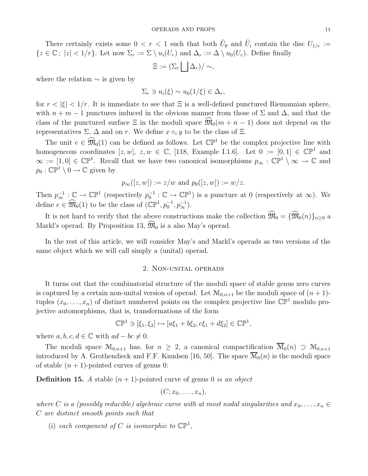There certainly exists some  $0 < r < 1$  such that both  $\tilde{U}_0$  and  $\tilde{U}_i$  contain the disc  $U_{1/r} :=$  ${z \in \mathbb{C}$ ;  $|z| < 1/r$ . Let now  $\Sigma_r := \Sigma \setminus u_i(U_r)$  and  $\Delta_r := \Delta \setminus u_0(U_r)$ . Define finally

$$
\Xi := (\Sigma_r \bigsqcup \Delta_r) / \sim,
$$

where the relation  $\sim$  is given by

$$
\Sigma_r \ni u_i(\xi) \sim u_0(1/\xi) \in \Delta_r,
$$

for  $r < |\xi| < 1/r$ . It is immediate to see that  $\Xi$  is a well-defined punctured Riemannian sphere, with  $n + m - 1$  punctures induced in the obvious manner from those of  $\Sigma$  and  $\Delta$ , and that the class of the punctured surface  $\Xi$  in the moduli space  $\mathfrak{M}_0(m + n - 1)$  does not depend on the representatives  $\Sigma$ ,  $\Delta$  and on r. We define  $x \circ_i y$  to be the class of  $\Xi$ .

The unit  $e \in \widehat{\mathfrak{M}}_0(1)$  can be defined as follows. Let  $\mathbb{CP}^1$  be the complex projective line with homogeneous coordinates  $[z, w], z, w \in \mathbb{C}$ , [118, Example I.1.6]. Let  $0 := [0, 1] \in \mathbb{CP}^1$  and  $\infty := [1,0] \in \mathbb{CP}^1$ . Recall that we have two canonical isomorphisms  $p_{\infty} : \mathbb{CP}^1 \setminus \infty \to \mathbb{C}$  and  $p_0: \mathbb{CP}^1 \setminus 0 \to \mathbb{C}$  given by

$$
p_{\infty}([z, w]) := z/w
$$
 and  $p_0([z, w]) := w/z$ .

Then  $p_{\infty}^{-1} : \mathbb{C} \to \mathbb{CP}^1$  (respectively  $p_0^{-1} : \mathbb{C} \to \mathbb{CP}^1$ ) is a puncture at 0 (respectively at  $\infty$ ). We define  $e \in \widehat{\mathfrak{M}}_0(1)$  to be the class of  $(\mathbb{CP}^1, p_0^{-1}, p_\infty^{-1}).$ 

It is not hard to verify that the above constructions make the collection  $\widehat{\mathfrak{M}}_0 = {\widehat{\mathfrak{M}}_0(n)}_{n>0}$  a Markl's operad. By Proposition 13,  $\widehat{\mathfrak{M}}_0$  is a also May's operad.

In the rest of this article, we will consider May's and Markl's operads as two versions of the same object which we will call simply a (unital) operad.

#### 2. Non-unital operads

It turns out that the combinatorial structure of the moduli space of stable genus zero curves is captured by a certain non-unital version of operad. Let  $\mathcal{M}_{0,n+1}$  be the moduli space of  $(n+1)$ tuples  $(x_0, \ldots, x_n)$  of distinct numbered points on the complex projective line  $\mathbb{CP}^1$  modulo projective automorphisms, that is, transformations of the form

$$
\mathbb{CP}^1 \ni [\xi_1, \xi_2] \mapsto [a\xi_1 + b\xi_2, c\xi_1 + d\xi_2] \in \mathbb{CP}^1,
$$

where  $a, b, c, d \in \mathbb{C}$  with  $ad - bc \neq 0$ .

The moduli space  $\mathcal{M}_{0,n+1}$  has, for  $n \geq 2$ , a canonical compactification  $\overline{\mathcal{M}}_0(n) \supset \mathcal{M}_{0,n+1}$ introduced by A. Grothendieck and F.F. Knudsen [16, 50]. The space  $\overline{\mathcal{M}}_0(n)$  is the moduli space of stable  $(n + 1)$ -pointed curves of genus 0:

**Definition 15.** A stable  $(n + 1)$ -pointed curve of genus 0 is an object

$$
(C; x_0, \ldots, x_n),
$$

where C is a (possibly reducible) algebraic curve with at most nodal singularities and  $x_0, \ldots, x_n \in$ C are distinct smooth points such that

(i) each component of C is isomorphic to  $\mathbb{CP}^1$ ,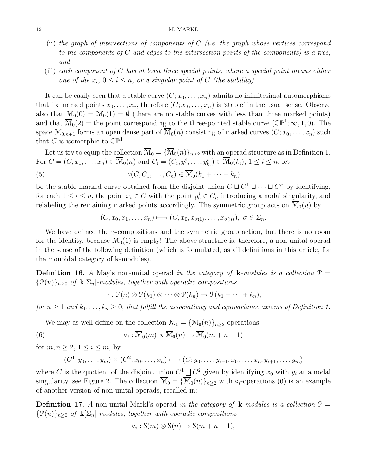#### 12 M. MARKL

- (ii) the graph of intersections of components of  $C$  (i.e. the graph whose vertices correspond to the components of  $C$  and edges to the intersection points of the components) is a tree, and
- (iii) each component of  $C$  has at least three special points, where a special point means either one of the  $x_i$ ,  $0 \le i \le n$ , or a singular point of C (the stability).

It can be easily seen that a stable curve  $(C; x_0, \ldots, x_n)$  admits no infinitesimal automorphisms that fix marked points  $x_0, \ldots, x_n$ , therefore  $(C; x_0, \ldots, x_n)$  is 'stable' in the usual sense. Observe also that  $\overline{\mathcal{M}}_0(0) = \overline{\mathcal{M}}_0(1) = \emptyset$  (there are no stable curves with less than three marked points) and that  $\overline{\mathcal{M}}_0(2)$  = the point corresponding to the three-pointed stable curve  $(\mathbb{CP}^1; \infty, 1, 0)$ . The space  $\mathcal{M}_{0,n+1}$  forms an open dense part of  $\overline{\mathcal{M}}_0(n)$  consisting of marked curves  $(C; x_0, \ldots, x_n)$  such that C is isomorphic to  $\mathbb{CP}^1$ .

Let us try to equip the collection  $\overline{\mathcal{M}}_0 = {\overline{\mathcal{M}}_0(n)}_{n>2}$  with an operad structure as in Definition 1. For  $C = (C, x_1, \ldots, x_n) \in \overline{\mathcal{M}}_0(n)$  and  $C_i = (C_i, y_1^i, \ldots, y_{k_i}^i) \in \overline{\mathcal{M}}_0(k_i), 1 \le i \le n$ , let

(5) 
$$
\gamma(C, C_1, \ldots, C_n) \in \overline{\mathcal{M}}_0(k_1 + \cdots + k_n)
$$

be the stable marked curve obtained from the disjoint union  $C \sqcup C^1 \sqcup \cdots \sqcup C^n$  by identifying, for each  $1 \leq i \leq n$ , the point  $x_i \in C$  with the point  $y_0^i \in C_i$ , introducing a nodal singularity, and relabeling the remaining marked points accordingly. The symmetric group acts on  $\mathcal{M}_0(n)$  by

$$
(C, x_0, x_1, \ldots, x_n) \longmapsto (C, x_0, x_{\sigma(1)}, \ldots, x_{\sigma(n)}), \sigma \in \Sigma_n.
$$

We have defined the  $\gamma$ -compositions and the symmetric group action, but there is no room for the identity, because  $\overline{\mathcal{M}}_0(1)$  is empty! The above structure is, therefore, a non-unital operad in the sense of the following definition (which is formulated, as all definitions in this article, for the monoidal category of k-modules).

**Definition 16.** A May's non-unital operad in the category of **k**-modules is a collection  $\mathcal{P} =$  ${\mathcal{P}(n)}_{n\geq 0}$  of  ${\mathbf k}[\Sigma_n]$ -modules, together with operadic compositions

$$
\gamma: \mathcal{P}(n) \otimes \mathcal{P}(k_1) \otimes \cdots \otimes \mathcal{P}(k_n) \to \mathcal{P}(k_1 + \cdots + k_n),
$$

for  $n \geq 1$  and  $k_1, \ldots, k_n \geq 0$ , that fulfill the associativity and equivariance axioms of Definition 1.

We may as well define on the collection  $\overline{\mathcal{M}}_0 = {\overline{\mathcal{M}}_0(n)}_{n>2}$  operations

(6) 
$$
\circ_i : \overline{\mathcal{M}}_0(m) \times \overline{\mathcal{M}}_0(n) \to \overline{\mathcal{M}}_0(m+n-1)
$$

for  $m, n \geq 2, 1 \leq i \leq m$ , by

$$
(C^1; y_0, \ldots, y_m) \times (C^2; x_0, \ldots, x_n) \longmapsto (C; y_0, \ldots, y_{i-1}, x_0, \ldots, x_n, y_{i+1}, \ldots, y_m)
$$

where C is the quotient of the disjoint union  $C^1 \bigsqcup C^2$  given by identifying  $x_0$  with  $y_i$  at a nodal singularity, see Figure 2. The collection  $\overline{\mathcal{M}}_0 = {\overline{\mathcal{M}}_0(n)}_{n\geq 2}$  with  $\circ_i$ -operations (6) is an example of another version of non-unital operads, recalled in:

**Definition 17.** A non-unital Markl's operad in the category of **k**-modules is a collection  $\mathcal{P} =$  ${\mathcal{P}(n)}_{n\geq 0}$  of  ${\mathbf k}[\Sigma_n]$ -modules, together with operadic compositions

$$
\circ_i : \mathcal{S}(m) \otimes \mathcal{S}(n) \to \mathcal{S}(m+n-1),
$$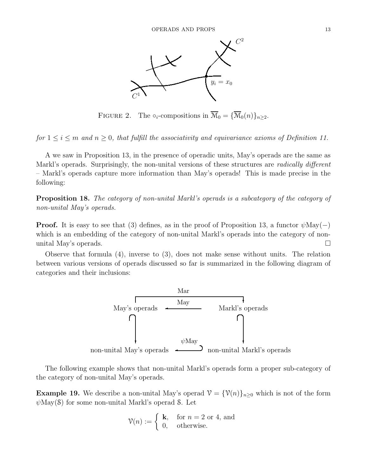

FIGURE 2. The  $\circ_i$ -compositions in  $\overline{\mathcal{M}}_0 = {\overline{\mathcal{M}}_0(n)}_{n \geq 2}$ .

for  $1 \leq i \leq m$  and  $n \geq 0$ , that fulfill the associativity and equivariance axioms of Definition 11.

A we saw in Proposition 13, in the presence of operadic units, May's operads are the same as Markl's operads. Surprisingly, the non-unital versions of these structures are *radically different* – Markl's operads capture more information than May's operads! This is made precise in the following:

Proposition 18. The category of non-unital Markl's operads is a subcategory of the category of non-unital May's operads.

**Proof.** It is easy to see that (3) defines, as in the proof of Proposition 13, a functor  $\psi$ May(−) which is an embedding of the category of non-unital Markl's operads into the category of nonunital May's operads.  $\square$ 

Observe that formula (4), inverse to (3), does not make sense without units. The relation between various versions of operads discussed so far is summarized in the following diagram of categories and their inclusions:



The following example shows that non-unital Markl's operads form a proper sub-category of the category of non-unital May's operads.

**Example 19.** We describe a non-unital May's operad  $\mathcal{V} = {\mathcal{V}(n)}_{n>0}$  which is not of the form  $\psi$ May(S) for some non-unital Markl's operad S. Let

$$
\mathcal{V}(n) := \begin{cases} \mathbf{k}, & \text{for } n = 2 \text{ or } 4 \text{, and} \\ 0, & \text{otherwise.} \end{cases}
$$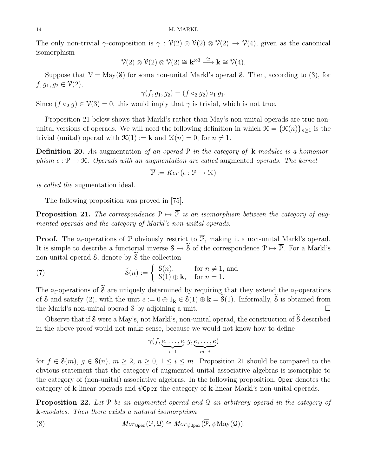#### 14 M. MARKL

The only non-trivial  $\gamma$ -composition is  $\gamma : \mathcal{V}(2) \otimes \mathcal{V}(2) \otimes \mathcal{V}(2) \to \mathcal{V}(4)$ , given as the canonical isomorphism

$$
\mathcal{V}(2) \otimes \mathcal{V}(2) \otimes \mathcal{V}(2) \cong \mathbf{k}^{\otimes 3} \xrightarrow{\cong} \mathbf{k} \cong \mathcal{V}(4).
$$

Suppose that  $V = \text{May}(8)$  for some non-unital Markl's operad S. Then, according to (3), for  $f, g_1, g_2 \in V(2),$ 

$$
\gamma(f, g_1, g_2) = (f \circ_2 g_2) \circ_1 g_1.
$$

Since  $(f \circ_2 g) \in \mathcal{V}(3) = 0$ , this would imply that  $\gamma$  is trivial, which is not true.

Proposition 21 below shows that Markl's rather than May's non-unital operads are true nonunital versions of operads. We will need the following definition in which  $\mathcal{K} = {\mathcal{K}(n)}_{n>1}$  is the trivial (unital) operad with  $\mathcal{K}(1) := \mathbf{k}$  and  $\mathcal{K}(n) = 0$ , for  $n \neq 1$ .

**Definition 20.** An augmentation of an operad  $P$  in the category of **k**-modules is a homomorphism  $\epsilon : \mathcal{P} \to \mathcal{K}$ . Operads with an augmentation are called augmented operads. The kernel

$$
\overline{\mathcal{P}} := \text{Ker} \left( \epsilon : \mathcal{P} \to \mathcal{K} \right)
$$

is called the augmentation ideal.

The following proposition was proved in [75].

**Proposition 21.** The correspondence  $\mathcal{P} \mapsto \overline{\mathcal{P}}$  is an isomorphism between the category of augmented operads and the category of Markl's non-unital operads.

**Proof.** The  $\circ_i$ -operations of P obviously restrict to  $\overline{P}$ , making it a non-unital Markl's operad. It is simple to describe a functorial inverse  $S \mapsto \tilde{S}$  of the correspondence  $\mathcal{P} \mapsto \overline{\mathcal{P}}$ . For a Markl's non-unital operad  $\delta$ , denote by  $\delta$  the collection

(7) 
$$
\widetilde{\mathbf{S}}(n) := \begin{cases} \mathbf{S}(n), & \text{for } n \neq 1, \text{ and} \\ \mathbf{S}(1) \oplus \mathbf{k}, & \text{for } n = 1. \end{cases}
$$

The ∘<sub>i</sub>-operations of  $\tilde{\mathcal{S}}$  are uniquely determined by requiring that they extend the ∘<sub>i</sub>-operations of S and satisfy (2), with the unit  $e := 0 \oplus 1_k \in \mathcal{S}(1) \oplus k = \widetilde{\mathcal{S}}(1)$ . Informally,  $\widetilde{\mathcal{S}}$  is obtained from the Markl's non-unital operad  $\delta$  by adjoining a unit.  $\Box$ 

Observe that if  $\mathcal S$  were a May's, not Markl's, non-unital operad, the construction of  $\widetilde{\mathcal S}$  described in the above proof would not make sense, because we would not know how to define

$$
\gamma(f,\underbrace{e,\ldots,e}_{i-1},g,\underbrace{e,\ldots,e}_{m-i})
$$

for  $f \in \mathcal{S}(m)$ ,  $g \in \mathcal{S}(n)$ ,  $m \geq 2$ ,  $n \geq 0$ ,  $1 \leq i \leq m$ . Proposition 21 should be compared to the obvious statement that the category of augmented unital associative algebras is isomorphic to the category of (non-unital) associative algebras. In the following proposition, Oper denotes the category of k-linear operads and  $\psi$ Oper the category of k-linear Markl's non-unital operads.

**Proposition 22.** Let P be an augmented operad and Q an arbitrary operad in the category of k-modules. Then there exists a natural isomorphism

(8) 
$$
Mor_{\mathbf{Oper}}(\mathcal{P}, \mathcal{Q}) \cong Mor_{\psi \mathbf{Oper}}(\overline{\mathcal{P}}, \psi \mathbf{May}(\mathcal{Q})).
$$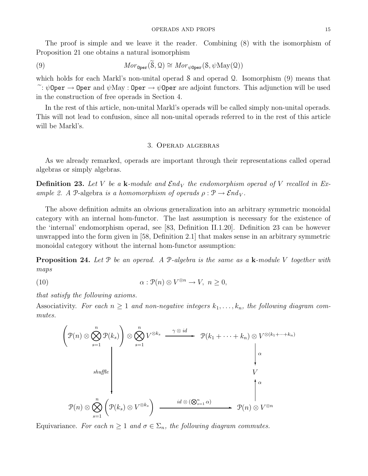The proof is simple and we leave it the reader. Combining (8) with the isomorphism of Proposition 21 one obtains a natural isomorphism

(9) 
$$
Mor_{\mathbf{Oper}}(\widetilde{\mathbf{S}}, \mathbf{Q}) \cong Mor_{\psi \mathbf{Oper}}(\mathbf{S}, \psi \mathbf{May}(\mathbf{Q}))
$$

which holds for each Markl's non-unital operad S and operad Q. Isomorphism (9) means that  $\tilde{\cdot}$ :  $\psi$ Oper  $\rightarrow$  Oper and  $\psi$ May : Oper  $\rightarrow \psi$ Oper are adjoint functors. This adjunction will be used in the construction of free operads in Section 4.

In the rest of this article, non-unital Markl's operads will be called simply non-unital operads. This will not lead to confusion, since all non-unital operads referred to in the rest of this article will be Markl's.

#### 3. Operad algebras

As we already remarked, operads are important through their representations called operad algebras or simply algebras.

**Definition 23.** Let V be a k-module and  $\mathcal{E}nd_V$  the endomorphism operad of V recalled in Example 2. A P-algebra is a homomorphism of operads  $\rho : \mathcal{P} \to \mathcal{E} nd_V$ .

The above definition admits an obvious generalization into an arbitrary symmetric monoidal category with an internal hom-functor. The last assumption is necessary for the existence of the 'internal' endomorphism operad, see [83, Definition II.1.20]. Definition 23 can be however unwrapped into the form given in [58, Definition 2.1] that makes sense in an arbitrary symmetric monoidal category without the internal hom-functor assumption:

**Proposition 24.** Let  $P$  be an operad. A  $P$ -algebra is the same as a  $k$ -module V together with maps

(10) 
$$
\alpha: \mathcal{P}(n) \otimes V^{\otimes n} \to V, \ n \geq 0,
$$

that satisfy the following axioms.

Associativity. For each  $n \geq 1$  and non-negative integers  $k_1, \ldots, k_n$ , the following diagram commutes.

$$
\left(\mathcal{P}(n) \otimes \bigotimes_{s=1}^{n} \mathcal{P}(k_s)\right) \otimes \bigotimes_{s=1}^{n} V^{\otimes k_s} \xrightarrow{\gamma \otimes id} \mathcal{P}(k_1 + \dots + k_n) \otimes V^{\otimes (k_1 + \dots + k_n)}
$$
\n
$$
\downarrow \alpha
$$
\n
$$
\downarrow \alpha
$$
\n
$$
\mathcal{P}(n) \otimes \bigotimes_{s=1}^{n} \left(\mathcal{P}(k_s) \otimes V^{\otimes k_s}\right) \xrightarrow{id \otimes (\bigotimes_{s=1}^{n} \alpha)} \mathcal{P}(n) \otimes V^{\otimes n}
$$

Equivariance. For each  $n \geq 1$  and  $\sigma \in \Sigma_n$ , the following diagram commutes.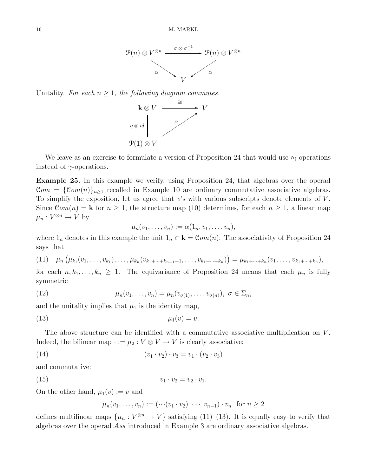

Unitality. For each  $n \geq 1$ , the following diagram commutes.



We leave as an exercise to formulate a version of Proposition 24 that would use  $\circ_i$ -operations instead of  $\gamma$ -operations.

Example 25. In this example we verify, using Proposition 24, that algebras over the operad  $\mathcal{C}om = {\mathcal{C}om(n)}_{n \geq 1}$  recalled in Example 10 are ordinary commutative associative algebras. To simplify the exposition, let us agree that  $v$ 's with various subscripts denote elements of  $V$ . Since  $\mathcal{C}om(n) = \mathbf{k}$  for  $n \geq 1$ , the structure map (10) determines, for each  $n \geq 1$ , a linear map  $\mu_n: V^{\otimes n} \to V$  by

$$
\mu_n(v_1,\ldots,v_n):=\alpha(1_n,v_1,\ldots,v_n),
$$

where  $1_n$  denotes in this example the unit  $1_n \in \mathbf{k} = \mathcal{C}om(n)$ . The associativity of Proposition 24 says that

(11) 
$$
\mu_n(\mu_{k_1}(v_1,\ldots,v_{k_1}),\ldots,\mu_{k_n}(v_{k_1+\cdots+k_{n-1}+1},\ldots,v_{k_1+\cdots+k_n}) ) = \mu_{k_1+\cdots+k_n}(v_1,\ldots,v_{k_1+\cdots+k_n}),
$$

for each  $n, k_1, \ldots, k_n \geq 1$ . The equivariance of Proposition 24 means that each  $\mu_n$  is fully symmetric

(12) 
$$
\mu_n(v_1,\ldots,v_n)=\mu_n(v_{\sigma(1)},\ldots,v_{\sigma(n)}),\ \sigma\in\Sigma_n,
$$

and the unitality implies that  $\mu_1$  is the identity map,

$$
\mu_1(v) = v.
$$

The above structure can be identified with a commutative associative multiplication on V. Indeed, the bilinear map  $\cdot := \mu_2 : V \otimes V \to V$  is clearly associative:

(14) 
$$
(v_1 \cdot v_2) \cdot v_3 = v_1 \cdot (v_2 \cdot v_3)
$$

and commutative:

$$
(15) \t\t v_1 \cdot v_2 = v_2 \cdot v_1.
$$

On the other hand,  $\mu_1(v) := v$  and

$$
\mu_n(v_1,\ldots,v_n):=(\cdots(v_1\cdot v_2)\cdots v_{n-1})\cdot v_n \text{ for } n\geq 2
$$

defines multilinear maps  $\{\mu_n: V^{\otimes n} \to V\}$  satisfying (11)–(13). It is equally easy to verify that algebras over the operad Ass introduced in Example 3 are ordinary associative algebras.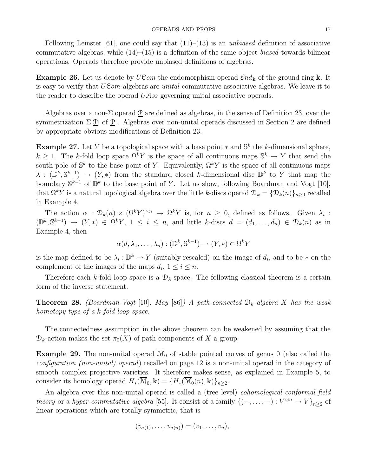Following Leinster [61], one could say that  $(11)$ – $(13)$  is an unbiased definition of associative commutative algebras, while  $(14)$ – $(15)$  is a definition of the same object *biased* towards bilinear operations. Operads therefore provide unbiased definitions of algebras.

**Example 26.** Let us denote by  $UCom$  the endomorphism operad  $\mathcal{E}nd_k$  of the ground ring k. It is easy to verify that  $UCom$ -algebras are *unital* commutative associative algebras. We leave it to the reader to describe the operad UAss governing unital associative operads.

Algebras over a non- $\Sigma$  operad P are defined as algebras, in the sense of Definition 23, over the symmetrization  $\Sigma[\mathcal{P}]$  of  $\mathcal{P}$ . Algebras over non-unital operads discussed in Section 2 are defined by appropriate obvious modifications of Definition 23.

**Example 27.** Let Y be a topological space with a base point  $*$  and  $\mathbb{S}^k$  the k-dimensional sphere,  $k \geq 1$ . The k-fold loop space  $\Omega^k Y$  is the space of all continuous maps  $\mathbb{S}^k \to Y$  that send the south pole of  $\mathbb{S}^k$  to the base point of Y. Equivalently,  $\Omega^k Y$  is the space of all continuous maps  $\lambda : (\mathbb{D}^k, \mathbb{S}^{k-1}) \to (Y, *)$  from the standard closed k-dimensional disc  $\mathbb{D}^k$  to Y that map the boundary  $\mathbb{S}^{k-1}$  of  $\mathbb{D}^k$  to the base point of Y. Let us show, following Boardman and Vogt [10], that  $\Omega^k Y$  is a natural topological algebra over the little k-discs operad  $\mathcal{D}_k = {\mathcal{D}_k(n)}_{n\geq 0}$  recalled in Example 4.

The action  $\alpha$ :  $\mathcal{D}_k(n) \times (\Omega^k Y)^{\times n} \to \Omega^k Y$  is, for  $n \geq 0$ , defined as follows. Given  $\lambda_i$ :  $(\mathbb{D}^k, \mathbb{S}^{k-1}) \to (Y, *) \in \Omega^k Y, 1 \le i \le n$ , and little k-discs  $d = (d_1, \ldots, d_n) \in \mathcal{D}_k(n)$  as in Example 4, then

 $\alpha(d, \lambda_1, \ldots, \lambda_n) : (\mathbb{D}^k, \mathbb{S}^{k-1}) \to (Y, *) \in \Omega^k Y$ 

is the map defined to be  $\lambda_i: \mathbb{D}^k \to Y$  (suitably rescaled) on the image of  $d_i$ , and to be  $*$  on the complement of the images of the maps  $d_i$ ,  $1 \leq i \leq n$ .

Therefore each k-fold loop space is a  $\mathcal{D}_k$ -space. The following classical theorem is a certain form of the inverse statement.

**Theorem 28.** (Boardman-Vogt [10], May [86]) A path-connected  $D_k$ -algebra X has the weak homotopy type of a k-fold loop space.

The connectedness assumption in the above theorem can be weakened by assuming that the  $\mathcal{D}_k$ -action makes the set  $\pi_0(X)$  of path components of X a group.

**Example 29.** The non-unital operad  $\overline{\mathcal{M}}_0$  of stable pointed curves of genus 0 (also called the configuration (non-unital) operad) recalled on page 12 is a non-unital operad in the category of smooth complex projective varieties. It therefore makes sense, as explained in Example 5, to consider its homology operad  $H_*(\overline{\mathcal{M}}_0, \mathbf{k}) = \{H_*(\overline{\mathcal{M}}_0(n), \mathbf{k})\}_{n>2}$ .

An algebra over this non-unital operad is called a (tree level) *cohomological conformal field* theory or a hyper-commutative algebra [55]. It consist of a family  $\{(-,\ldots,-): V^{\otimes n} \to V\}_{n\geq 2}$  of linear operations which are totally symmetric, that is

$$
(v_{\sigma(1)},\ldots,v_{\sigma(n)})=(v_1,\ldots,v_n),
$$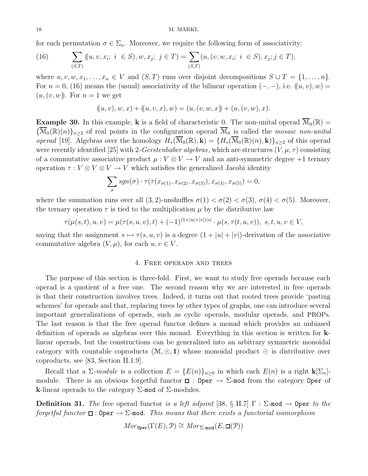for each permutation  $\sigma \in \Sigma_n$ . Moreover, we require the following form of associativity:

(16) 
$$
\sum_{(S,T)} ((u, v, x_i; i \in S), w, x_j; j \in T) = \sum_{(S,T)} (u, (v, w, x_i; i \in S), x_j; j \in T),
$$

where  $u, v, w, x_1, \ldots, x_n \in V$  and  $(S, T)$  runs over disjoint decompositions  $S \sqcup T = \{1, \ldots, n\}.$ For  $n = 0$ , (16) means the (usual) associativity of the bilinear operation  $(-, -)$ , i.e.  $((u, v), w) =$  $(u,(v,w))$ . For  $n=1$  we get

$$
((u, v), w, x) + ((u, v, x), w) = (u, (v, w, x)) + (u, (v, w), x).
$$

**Example 30.** In this example, **k** is a field of characteristic 0. The non-unital operad  $\overline{\mathcal{M}}_0(\mathbb{R})$  =  ${\overline{\mathcal{M}}_0(\mathbb{R})(n)}_{n\geq 2}$  of real points in the configuration operad  $\overline{\mathcal{M}}_0$  is called the *mosaic non-unital* operad [19]. Algebras over the homology  $H_*(\overline{\mathcal{M}}_0(\mathbb{R}), \mathbf{k}) = {H_*(\overline{\mathcal{M}}_0(\mathbb{R})(n), \mathbf{k})}_{n>2}$  of this operad were recently identified [25] with 2-Gerstenhaber algebras, which are structures  $(V, \mu, \tau)$  consisting of a commutative associative product  $\mu : V \otimes V \to V$  and an anti-symmetric degree +1 ternary operation  $\tau : V \otimes V \otimes V \to V$  which satisfies the generalized Jacobi identity

$$
\sum_{\sigma} sgn(\sigma) \cdot \tau(\tau(x_{\sigma(1)}, x_{\sigma(2)}, x_{\sigma(3)}), x_{\sigma(4)}, x_{\sigma(5)}) = 0,
$$

where the summation runs over all  $(3, 2)$ -unshuffles  $\sigma(1) < \sigma(2) < \sigma(3)$ ,  $\sigma(4) < \sigma(5)$ . Moreover, the ternary operation  $\tau$  is tied to the multiplication  $\mu$  by the distributive law

$$
\tau(\mu(s,t),u,v) = \mu(\tau(s,u,v),t) + (-1)^{(1+|u|+|v|)|s|} \cdot \mu(s,\tau(t,u,v)), \ s,t,u,v \in V,
$$

saying that the assignment  $s \mapsto \tau(s, u, v)$  is a degree  $(1 + |u| + |v|)$ -derivation of the associative commutative algebra  $(V, \mu)$ , for each  $u, v \in V$ .

#### 4. Free operads and trees

The purpose of this section is three-fold. First, we want to study free operads because each operad is a quotient of a free one. The second reason why we are interested in free operads is that their construction involves trees. Indeed, it turns out that rooted trees provide 'pasting schemes' for operads and that, replacing trees by other types of graphs, one can introduce several important generalizations of operads, such as cyclic operads, modular operads, and PROPs. The last reason is that the free operad functor defines a monad which provides an unbiased definition of operads as algebras over this monad. Everything in this section is written for klinear operads, but the constructions can be generalized into an arbitrary symmetric monoidal category with countable coproducts  $(\mathcal{M}, \odot, \mathbf{1})$  whose monoidal product  $\odot$  is distributive over coproducts, see [83, Section II.1.9].

Recall that a  $\Sigma$ -module is a collection  $E = \{E(n)\}_{n\geq 0}$  in which each  $E(n)$  is a right  $\mathbf{k}[\Sigma_n]$ module. There is an obvious forgetful functor  $\Box$ : Oper  $\rightarrow \Sigma$ -mod from the category Oper of k-linear operads to the category  $\Sigma$ -mod of  $\Sigma$ -modules.

**Definition 31.** The free operad functor is a left adjoint [38, § II.7]  $\Gamma$  :  $\Sigma$ -mod  $\rightarrow$  Oper to the forgetful functor  $\Box$ : Oper  $\rightarrow \Sigma$ -mod. This means that there exists a functorial isomorphism

$$
Mor_{\mathsf{Oper}}(\Gamma(E), \mathcal{P}) \cong Mor_{\Sigma \text{-mod}}(E, \Box(\mathcal{P}))
$$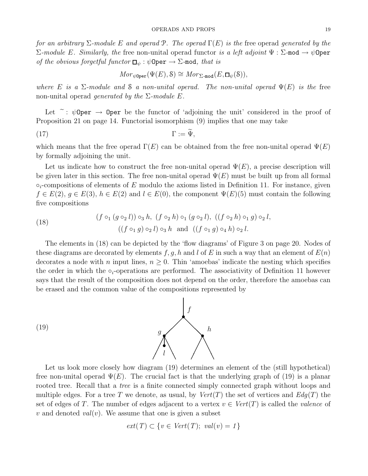for an arbitrary  $\Sigma$ -module E and operad P. The operad  $\Gamma(E)$  is the free operad generated by the  $Σ$ -module E. Similarly, the free non-unital operad functor is a left adjoint  $Ψ$  :  $Σ$ -mod  $→$   $ψ$ Oper of the obvious forgetful functor  $\Box_{\psi} : \psi$ Oper  $\rightarrow \Sigma$ -mod, that is

$$
Mor_{\psi \text{Oper}}(\Psi(E), \mathcal{S}) \cong Mor_{\Sigma \text{-mod}}(E, \Box_{\psi}(\mathcal{S})),
$$

where E is a  $\Sigma$ -module and S a non-unital operad. The non-unital operad  $\Psi(E)$  is the free non-unital operad *generated by the*  $\Sigma$ -module E.

Let  $\tilde{\phantom{a}}: \psi$ Oper  $\rightarrow$  Oper be the functor of 'adjoining the unit' considered in the proof of Proposition 21 on page 14. Functorial isomorphism (9) implies that one may take

$$
\Gamma := \Psi,
$$
  $\Gamma := \Psi,$ 

which means that the free operad  $\Gamma(E)$  can be obtained from the free non-unital operad  $\Psi(E)$ by formally adjoining the unit.

Let us indicate how to construct the free non-unital operad  $\Psi(E)$ , a precise description will be given later in this section. The free non-unital operad  $\Psi(E)$  must be built up from all formal  $\circ_i$ -compositions of elements of E modulo the axioms listed in Definition 11. For instance, given  $f \in E(2), g \in E(3), h \in E(2)$  and  $l \in E(0),$  the component  $\Psi(E)(5)$  must contain the following five compositions

(18) 
$$
(f \circ_1 (g \circ_2 l)) \circ_3 h, (f \circ_2 h) \circ_1 (g \circ_2 l), ((f \circ_2 h) \circ_1 g) \circ_2 l, ((f \circ_1 g) \circ_2 l) \circ_3 h \text{ and } ((f \circ_1 g) \circ_4 h) \circ_2 l.
$$

The elements in (18) can be depicted by the 'flow diagrams' of Figure 3 on page 20. Nodes of these diagrams are decorated by elements f, g, h and l of E in such a way that an element of  $E(n)$ decorates a node with n input lines,  $n \geq 0$ . Thin 'amoebas' indicate the nesting which specifies the order in which the  $\circ_i$ -operations are performed. The associativity of Definition 11 however says that the result of the composition does not depend on the order, therefore the amoebas can be erased and the common value of the compositions represented by



Let us look more closely how diagram (19) determines an element of the (still hypothetical) free non-unital operad  $\Psi(E)$ . The crucial fact is that the underlying graph of (19) is a planar rooted tree. Recall that a *tree* is a finite connected simply connected graph without loops and multiple edges. For a tree T we denote, as usual, by  $Vert(T)$  the set of vertices and  $Edg(T)$  the set of edges of T. The number of edges adjacent to a vertex  $v \in Vert(T)$  is called the *valence* of v and denoted val(v). We assume that one is given a subset

$$
ext(T) \subset \{v \in Vert(T); val(v) = 1\}
$$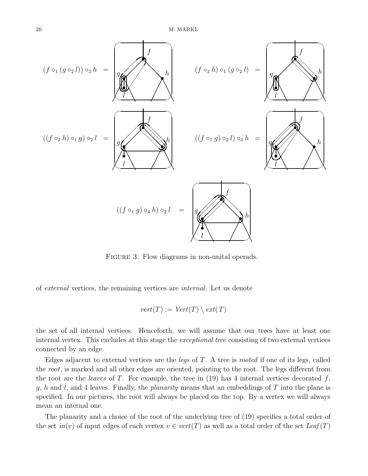

FIGURE 3. Flow diagrams in non-unital operads.

of external vertices, the remaining vertices are internal. Let us denote

$$
vert(T) := Vert(T) \setminus ext(T)
$$

the set of all internal vertices. Henceforth, we will assume that our trees have at least one internal vertex. This excludes at this stage the exceptional tree consisting of two external vertices connected by an edge.

Edges adjacent to external vertices are the *legs* of  $T$ . A tree is *rooted* if one of its legs, called the root, is marked and all other edges are oriented, pointing to the root. The legs different from the root are the leaves of T. For example, the tree in  $(19)$  has 4 internal vertices decorated f, g, h and l, and 4 leaves. Finally, the *planarity* means that an embeddings of T into the plane is specified. In our pictures, the root will always be placed on the top. By a vertex we will always mean an internal one.

The planarity and a choice of the root of the underlying tree of (19) specifies a total order of the set  $in(v)$  of input edges of each vertex  $v \in vert(T)$  as well as a total order of the set  $Leaf(T)$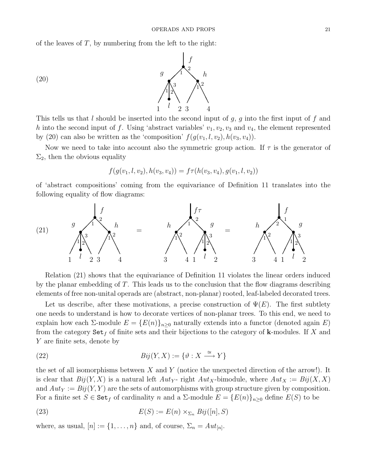of the leaves of  $T$ , by numbering from the left to the right:



This tells us that  $l$  should be inserted into the second input of  $g$ ,  $g$  into the first input of  $f$  and h into the second input of f. Using 'abstract variables'  $v_1, v_2, v_3$  and  $v_4$ , the element represented by (20) can also be written as the 'composition'  $f(g(v_1, l, v_2), h(v_3, v_4))$ .

Now we need to take into account also the symmetric group action. If  $\tau$  is the generator of  $\Sigma_2$ , then the obvious equality

$$
f(g(v_1, l, v_2), h(v_3, v_4)) = f\tau(h(v_3, v_4), g(v_1, l, v_2))
$$

of 'abstract compositions' coming from the equivariance of Definition 11 translates into the following equality of flow diagrams:



Relation (21) shows that the equivariance of Definition 11 violates the linear orders induced by the planar embedding of  $T$ . This leads us to the conclusion that the flow diagrams describing elements of free non-unital operads are (abstract, non-planar) rooted, leaf-labeled decorated trees.

Let us describe, after these motivations, a precise construction of  $\Psi(E)$ . The first subtlety one needs to understand is how to decorate vertices of non-planar trees. To this end, we need to explain how each  $\Sigma$ -module  $E = \{E(n)\}_{n\geq 0}$  naturally extends into a functor (denoted again E) from the category  $\text{Set}_f$  of finite sets and their bijections to the category of **k**-modules. If X and Y are finite sets, denote by

(22) 
$$
Bij(Y, X) := \{ \vartheta : X \xrightarrow{\cong} Y \}
$$

the set of all isomorphisms between  $X$  and  $Y$  (notice the unexpected direction of the arrow!). It is clear that  $Bij(Y, X)$  is a natural left  $Aut_Y$ - right  $Aut_X$ -bimodule, where  $Aut_X := Bij(X, X)$ and  $Aut_Y := Bij(Y, Y)$  are the sets of automorphisms with group structure given by composition. For a finite set  $S \in \text{Set}_f$  of cardinality n and a  $\Sigma$ -module  $E = \{E(n)\}_{n\geq 0}$  define  $E(S)$  to be

(23) 
$$
E(S) := E(n) \times_{\Sigma_n} Bij([n], S)
$$

where, as usual,  $[n] := \{1, \ldots, n\}$  and, of course,  $\Sigma_n = Aut_{[n]}$ .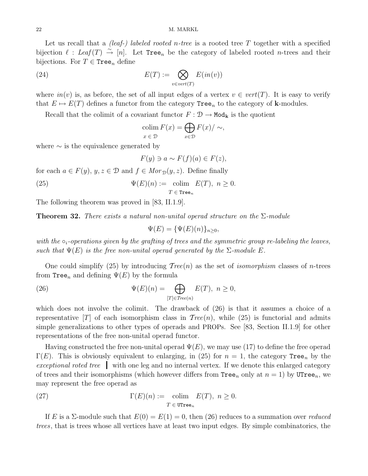#### 22 M. MARKL

Let us recall that a *(leaf-)* labeled rooted n-tree is a rooted tree T together with a specified bijection  $\ell$  : Leaf  $(T) \stackrel{\sim}{\to} [n]$ . Let Tree<sub>n</sub> be the category of labeled rooted n-trees and their bijections. For  $T \in \text{Tree}_n$  define

(24) 
$$
E(T) := \bigotimes_{v \in vert(T)} E(in(v))
$$

where  $in(v)$  is, as before, the set of all input edges of a vertex  $v \in vert(T)$ . It is easy to verify that  $E \mapsto E(T)$  defines a functor from the category Tree<sub>n</sub> to the category of **k**-modules.

Recall that the colimit of a covariant functor  $F : \mathcal{D} \to \mathsf{Mod}_{k}$  is the quotient

$$
\operatorname{colim}_{x \in \mathcal{D}} F(x) = \bigoplus_{x \in \mathcal{D}} F(x) / \sim,
$$

where  $\sim$  is the equivalence generated by

$$
F(y) \ni a \sim F(f)(a) \in F(z),
$$

for each  $a \in F(y)$ ,  $y, z \in \mathcal{D}$  and  $f \in Mor_{\mathcal{D}}(y, z)$ . Define finally

(25) 
$$
\Psi(E)(n) := \underset{T \in \text{Tree}_n}{\text{colim}} E(T), \ n \ge 0.
$$

The following theorem was proved in [83, II.1.9].

**Theorem 32.** There exists a natural non-unital operad structure on the  $\Sigma$ -module

$$
\Psi(E) = {\Psi(E)(n)}_{n \ge 0},
$$

with the  $\circ_i$ -operations given by the grafting of trees and the symmetric group re-labeling the leaves, such that  $\Psi(E)$  is the free non-unital operad generated by the  $\Sigma$ -module E.

One could simplify (25) by introducing  $Tree(n)$  as the set of *isomorphism* classes of *n*-trees from Tree<sub>n</sub> and defining  $\Psi(E)$  by the formula

(26) 
$$
\Psi(E)(n) = \bigoplus_{[T] \in Tree(n)} E(T), \ n \ge 0,
$$

which does not involve the colimit. The drawback of (26) is that it assumes a choice of a representative  $[T]$  of each isomorphism class in  $Tree(n)$ , while (25) is functorial and admits simple generalizations to other types of operads and PROPs. See [83, Section II.1.9] for other representations of the free non-unital operad functor.

Having constructed the free non-unital operad  $\Psi(E)$ , we may use (17) to define the free operad  $\Gamma(E)$ . This is obviously equivalent to enlarging, in (25) for  $n = 1$ , the category Tree<sub>n</sub> by the exceptional roted tree with one leg and no internal vertex. If we denote this enlarged category of trees and their isomorphisms (which however differs from  $\text{Tree}_n$  only at  $n = 1$ ) by UTree<sub>n</sub>, we may represent the free operad as

(27) 
$$
\Gamma(E)(n) := \underset{T \in \text{UTree}_n}{\text{colim}} E(T), \ n \ge 0.
$$

If E is a  $\Sigma$ -module such that  $E(0) = E(1) = 0$ , then (26) reduces to a summation over *reduced* trees, that is trees whose all vertices have at least two input edges. By simple combinatorics, the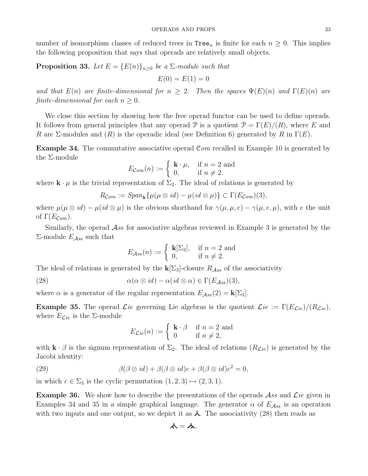number of isomorphism classes of reduced trees in  $Tree_n$  is finite for each  $n \geq 0$ . This implies the following proposition that says that operads are relatively small objects.

**Proposition 33.** Let  $E = \{E(n)\}_{n\geq 0}$  be a  $\Sigma$ -module such that

$$
E(0) = E(1) = 0
$$

and that  $E(n)$  are finite-dimensional for  $n \geq 2$ . Then the spaces  $\Psi(E)(n)$  and  $\Gamma(E)(n)$  are finite-dimensional for each  $n \geq 0$ .

We close this section by showing how the free operad functor can be used to define operads. It follows from general principles that any operad P is a quotient  $\mathcal{P} = \Gamma(E)/(R)$ , where E and R are  $\Sigma$ -modules and  $(R)$  is the operadic ideal (see Definition 6) generated by R in  $\Gamma(E)$ .

Example 34. The commutative associative operad Com recalled in Example 10 is generated by the Σ-module

$$
E_{\mathcal{C}om}(n) := \begin{cases} \mathbf{k} \cdot \mu, & \text{if } n = 2 \text{ and} \\ 0, & \text{if } n \neq 2. \end{cases}
$$

where  $\mathbf{k} \cdot \mu$  is the trivial representation of  $\Sigma_2$ . The ideal of relations is generated by

$$
R_{Com} := Span_{\mathbf{k}}\{\mu(\mu \otimes id) - \mu(id \otimes \mu)\} \subset \Gamma(E_{Com})(3),
$$

where  $\mu(\mu \otimes id) - \mu(id \otimes \mu)$  is the obvious shorthand for  $\gamma(\mu, \mu, e) - \gamma(\mu, e, \mu)$ , with e the unit of  $\Gamma(E_{\mathcal{C}\circ m})$ .

Similarly, the operad  $\mathcal{A}ss$  for associative algebras reviewed in Example 3 is generated by the  $\Sigma$ -module  $E_{\mathcal{A}ss}$  such that

$$
E_{Ass}(n) := \begin{cases} \mathbf{k}[\Sigma_2], & \text{if } n = 2 \text{ and} \\ 0, & \text{if } n \neq 2. \end{cases}
$$

The ideal of relations is generated by the  $\mathbf{k}[\Sigma_3]$ -closure  $R_{\mathcal{A}ss}$  of the associativity

(28)  $\alpha(\alpha \otimes id) - \alpha(id \otimes \alpha) \in \Gamma(E_{\mathcal{A}ss})(3),$ 

where  $\alpha$  is a generator of the regular representation  $E_{\mathcal{A}ss}(2) = \mathbf{k}[\Sigma_2]$ .

**Example 35.** The operad *Lie* governing Lie algebras is the quotient  $\mathcal{L}ie := \Gamma(E_{\mathcal{L}ie})/(R_{\mathcal{L}ie})$ , where  $E_{\mathcal{L}ie}$  is the  $\Sigma$ -module

$$
E_{\mathcal{L}ie}(n) := \begin{cases} \mathbf{k} \cdot \beta & \text{if } n = 2 \text{ and} \\ 0 & \text{if } n \neq 2, \end{cases}
$$

with  $\mathbf{k} \cdot \beta$  is the signum representation of  $\Sigma_2$ . The ideal of relations  $(R_{\mathcal{L}ie})$  is generated by the Jacobi identity:

(29) 
$$
\beta(\beta \otimes id) + \beta(\beta \otimes id)c + \beta(\beta \otimes id)c^2 = 0,
$$

in which  $c \in \Sigma_3$  is the cyclic permutation  $(1, 2, 3) \mapsto (2, 3, 1)$ .

**Example 36.** We show how to describe the presentations of the operads  $\mathcal{A}$ ss and  $\mathcal{L}ie$  given in Examples 34 and 35 in a simple graphical language. The generator  $\alpha$  of  $E_{\mathcal{A}ss}$  is an operation with two inputs and one output, so we depict it as  $\lambda$ . The associativity (28) then reads as

$$
\boldsymbol{\lambda}=\boldsymbol{\lambda},
$$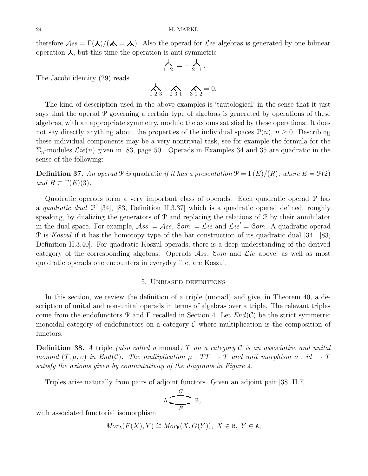therefore  $\mathcal{A}ss = \Gamma(\lambda)/(\lambda = \lambda)$ . Also the operad for *Lie* algebras is generated by one bilinear operation  $\lambda$ , but this time the operation is anti-symmetric

$$
\bigwedge_{1\ 2} = -\bigwedge_{2\ 1}.
$$

The Jacobi identity (29) reads

$$
\sum_{1 \ 2 \ 3} + \sum_{2 \ 3 \ 1} + \sum_{3 \ 1 \ 2} = 0.
$$

The kind of description used in the above examples is 'tautological' in the sense that it just says that the operad P governing a certain type of algebras is generated by operations of these algebras, with an appropriate symmetry, modulo the axioms satisfied by these operations. It does not say directly anything about the properties of the individual spaces  $\mathcal{P}(n)$ ,  $n \geq 0$ . Describing these individual components may be a very nontrivial task, see for example the formula for the  $\Sigma_n$ -modules  $\mathcal{L}ie(n)$  given in [83, page 50]. Operads in Examples 34 and 35 are quadratic in the sense of the following:

**Definition 37.** An operad  $\mathcal P$  is quadratic if it has a presentation  $\mathcal P = \Gamma(E)/(R)$ , where  $E = \mathcal P(2)$ and  $R \subset \Gamma(E)(3)$ .

Quadratic operads form a very important class of operads. Each quadratic operad P has a quadratic dual  $\mathcal{P}^!$  [34], [83, Definition II.3.37] which is a quadratic operad defined, roughly speaking, by dualizing the generators of  $\mathcal{P}$  and replacing the relations of  $\mathcal{P}$  by their annihilator in the dual space. For example,  $\mathcal{A}ss^{\dagger}=\mathcal{A}ss$ ,  $\mathcal{C}om^{\dagger}=\mathcal{L}ie$  and  $\mathcal{L}ie^{\dagger}=\mathcal{C}om$ . A quadratic operad P is Koszul if it has the homotopy type of the bar construction of its quadratic dual [34], [83, Definition II.3.40]. For quadratic Koszul operads, there is a deep understanding of the derived category of the corresponding algebras. Operads  $\mathcal{A}ss$ , Com and  $\mathcal{L}ie$  above, as well as most quadratic operads one encounters in everyday life, are Koszul.

#### 5. Unbiased definitions

In this section, we review the definition of a triple (monad) and give, in Theorem 40, a description of unital and non-unital operads in terms of algebras over a triple. The relevant triples come from the endofunctors  $\Psi$  and  $\Gamma$  recalled in Section 4. Let  $End(\mathcal{C})$  be the strict symmetric monoidal category of endofunctors on a category  $\mathcal C$  where multiplication is the composition of functors.

**Definition 38.** A triple (also called a monad) T on a category C is an associative and unital monoid  $(T, \mu, \nu)$  in End(C). The multiplication  $\mu : TT \to T$  and unit morphism  $\nu : id \to T$ satisfy the axioms given by commutativity of the diagrams in Figure 4.

Triples arise naturally from pairs of adjoint functors. Given an adjoint pair [38, II.7]

$$
A \xrightarrow{\qquad \qquad G \qquad \qquad } B,
$$

with associated functorial isomorphism

$$
Mor_{\mathbf{A}}(F(X), Y) \cong Mor_{\mathbf{B}}(X, G(Y)), \ X \in \mathbf{B}, \ Y \in \mathbf{A},
$$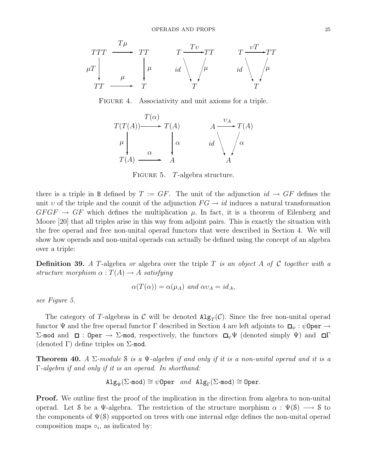

FIGURE 4. Associativity and unit axioms for a triple.



FIGURE 5. T-algebra structure.

there is a triple in B defined by  $T := GF$ . The unit of the adjunction  $id \rightarrow GF$  defines the unit v of the triple and the counit of the adjunction  $FG \rightarrow id$  induces a natural transformation  $GFGF \rightarrow GF$  which defines the multiplication  $\mu$ . In fact, it is a theorem of Eilenberg and Moore [20] that all triples arise in this way from adjoint pairs. This is exactly the situation with the free operad and free non-unital operad functors that were described in Section 4. We will show how operads and non-unital operads can actually be defined using the concept of an algebra over a triple:

**Definition 39.** A T-algebra or algebra over the triple T is an object A of C together with a structure morphism  $\alpha: T(A) \to A$  satisfying

$$
\alpha(T(\alpha)) = \alpha(\mu_A) \text{ and } \alpha v_A = id_A,
$$

see Figure 5.

The category of T-algebras in C will be denoted  $\text{Alg}_T(\mathcal{C})$ . Since the free non-unital operad functor  $\Psi$  and the free operad functor  $\Gamma$  described in Section 4 are left adjoints to  $\Box_{\psi} : \psi$ 0per  $\rightarrow$ Σ-mod and  $\Box$ : Oper  $\rightarrow$  Σ-mod, respectively, the functors  $\Box_{\psi}\Psi$  (denoted simply  $\Psi$ ) and  $\Box\Gamma$ (denoted  $\Gamma$ ) define triples on  $\Sigma$ -mod.

**Theorem 40.** A  $\Sigma$ -module S is a  $\Psi$ -algebra if and only if it is a non-unital operad and it is a Γ-algebra if and only if it is an operad. In shorthand:

$$
\mathtt{Alg}_{\Psi}(\Sigma\text{-}\mathtt{mod})\cong \psi\mathtt{Oper} \ \ \text{and} \ \ \mathtt{Alg}_{\Gamma}(\Sigma\text{-}\mathtt{mod})\cong \mathtt{Oper}.
$$

**Proof.** We outline first the proof of the implication in the direction from algebra to non-unital operad. Let S be a Ψ-algebra. The restriction of the structure morphism  $\alpha : \Psi(\mathcal{S}) \longrightarrow \mathcal{S}$  to the components of  $\Psi(\mathcal{S})$  supported on trees with one internal edge defines the non-unital operad composition maps  $\circ_i$ , as indicated by: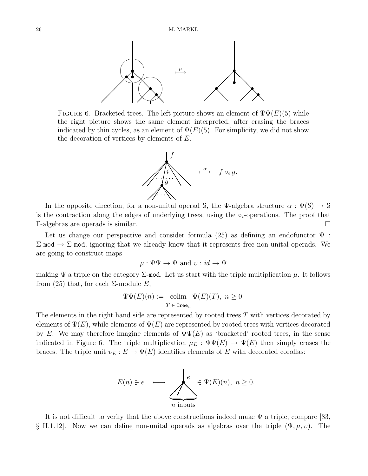

FIGURE 6. Bracketed trees. The left picture shows an element of  $\Psi\Psi(E)(5)$  while the right picture shows the same element interpreted, after erasing the braces indicated by thin cycles, as an element of  $\Psi(E)(5)$ . For simplicity, we did not show the decoration of vertices by elements of  $E$ .



In the opposite direction, for a non-unital operad S, the Ψ-algebra structure  $\alpha : \Psi(\mathcal{S}) \to \mathcal{S}$ is the contraction along the edges of underlying trees, using the  $\circ_i$ -operations. The proof that Γ-algebras are operads is similar.

Let us change our perspective and consider formula (25) as defining an endofunctor  $\Psi$ :  $\Sigma$ -mod  $\rightarrow$  Σ-mod, ignoring that we already know that it represents free non-unital operads. We are going to construct maps

$$
\mu: \Psi \Psi \to \Psi \text{ and } \upsilon: id \to \Psi
$$

making  $\Psi$  a triple on the category  $\Sigma$ -mod. Let us start with the triple multiplication  $\mu$ . It follows from (25) that, for each  $\Sigma$ -module E,

$$
\Psi\Psi(E)(n) := \operatorname{colim}_{T \in \operatorname{Tree}_n} \Psi(E)(T), \ n \ge 0.
$$

The elements in the right hand side are represented by rooted trees T with vertices decorated by elements of  $\Psi(E)$ , while elements of  $\Psi(E)$  are represented by rooted trees with vertices decorated by E. We may therefore imagine elements of  $\Psi\Psi(E)$  as 'bracketed' rooted trees, in the sense indicated in Figure 6. The triple multiplication  $\mu_E : \Psi\Psi(E) \to \Psi(E)$  then simply erases the braces. The triple unit  $v_E : E \to \Psi(E)$  identifies elements of E with decorated corollas:



It is not difficult to verify that the above constructions indeed make  $\Psi$  a triple, compare [83, § II.1.12. Now we can define non-unital operads as algebras over the triple  $(\Psi, \mu, \nu)$ . The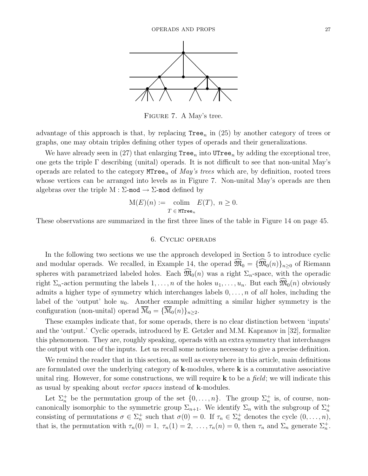

Figure 7. A May's tree.

advantage of this approach is that, by replacing  $Tree_n$  in (25) by another category of trees or graphs, one may obtain triples defining other types of operads and their generalizations.

We have already seen in (27) that enlarging  $\text{Tree}_n$  into  $\text{UTree}_n$  by adding the exceptional tree, one gets the triple Γ describing (unital) operads. It is not difficult to see that non-unital May's operads are related to the category  $MTree_n$  of *May's trees* which are, by definition, rooted trees whose vertices can be arranged into levels as in Figure 7. Non-unital May's operads are then algebras over the triple  $M : \Sigma$ -mod  $\rightarrow \Sigma$ -mod defined by

$$
\mathcal{M}(E)(n) := \text{colim}_{T \in \text{MTree}_n} E(T), \ n \ge 0.
$$

These observations are summarized in the first three lines of the table in Figure 14 on page 45.

#### 6. Cyclic operads

In the following two sections we use the approach developed in Section 5 to introduce cyclic and modular operads. We recalled, in Example 14, the operad  $\widehat{\mathfrak{M}}_0 = {\widehat{\mathfrak{M}}_0(n)}_{n>0}$  of Riemann spheres with parametrized labeled holes. Each  $\widehat{\mathfrak{M}}_0(n)$  was a right  $\Sigma_n$ -space, with the operadic right  $\Sigma_n$ -action permuting the labels  $1, \ldots, n$  of the holes  $u_1, \ldots, u_n$ . But each  $\mathfrak{M}_0(n)$  obviously admits a higher type of symmetry which interchanges labels  $0, \ldots, n$  of all holes, including the label of the 'output' hole  $u_0$ . Another example admitting a similar higher symmetry is the configuration (non-unital) operad  $\overline{\mathcal{M}}_0 = {\overline{\mathcal{M}}_0(n)}_{n \geq 2}$ .

These examples indicate that, for some operads, there is no clear distinction between 'inputs' and the 'output.' Cyclic operads, introduced by E. Getzler and M.M. Kapranov in [32], formalize this phenomenon. They are, roughly speaking, operads with an extra symmetry that interchanges the output with one of the inputs. Let us recall some notions necessary to give a precise definition.

We remind the reader that in this section, as well as everywhere in this article, main definitions are formulated over the underlying category of  $k$ -modules, where  $k$  is a commutative associative unital ring. However, for some constructions, we will require  $\bf{k}$  to be a field; we will indicate this as usual by speaking about vector spaces instead of k-modules.

Let  $\Sigma_n^+$  be the permutation group of the set  $\{0,\ldots,n\}$ . The group  $\Sigma_n^+$  is, of course, noncanonically isomorphic to the symmetric group  $\Sigma_{n+1}$ . We identify  $\Sigma_n$  with the subgroup of  $\Sigma_n^+$ consisting of permutations  $\sigma \in \Sigma_n^+$  such that  $\sigma(0) = 0$ . If  $\tau_n \in \Sigma_n^+$  denotes the cycle  $(0, \ldots, n)$ , that is, the permutation with  $\tau_n(0) = 1$ ,  $\tau_n(1) = 2, \ldots, \tau_n(n) = 0$ , then  $\tau_n$  and  $\Sigma_n$  generate  $\Sigma_n^+$ .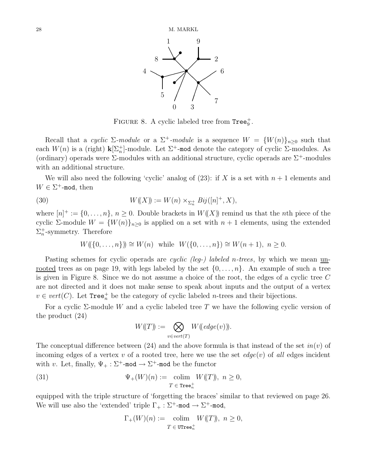

FIGURE 8. A cyclic labeled tree from  $\text{Tree}_9^+$ .

Recall that a cyclic  $\Sigma$ -module or a  $\Sigma^+$ -module is a sequence  $W = \{W(n)\}_{n\geq 0}$  such that each  $W(n)$  is a (right)  $\mathbf{k}[\Sigma_n^+]$ -module. Let  $\Sigma^+$ -mod denote the category of cyclic  $\Sigma$ -modules. As (ordinary) operads were  $\Sigma$ -modules with an additional structure, cyclic operads are  $\Sigma^+$ -modules with an additional structure.

We will also need the following 'cyclic' analog of  $(23)$ : if X is a set with  $n+1$  elements and  $W \in \Sigma^+$ -mod, then

(30) 
$$
W(\!(X)\!) := W(n) \times_{\Sigma_n^+} Bij([n]^+, X),
$$

where  $[n]^+ := \{0, \ldots, n\}, n \geq 0$ . Double brackets in  $W(X)$  remind us that the *n*th piece of the cyclic Σ-module  $W = \{W(n)\}_{n\geq 0}$  is applied on a set with  $n + 1$  elements, using the extended  $\Sigma_n^+$ -symmetry. Therefore

$$
W(\{(0,\ldots,n\})) \cong W(n)
$$
 while  $W(\{0,\ldots,n\}) \cong W(n+1), n \ge 0.$ 

Pasting schemes for cyclic operads are *cyclic (leg-) labeled n-trees*, by which we mean unrooted trees as on page 19, with legs labeled by the set  $\{0, \ldots, n\}$ . An example of such a tree is given in Figure 8. Since we do not assume a choice of the root, the edges of a cyclic tree C are not directed and it does not make sense to speak about inputs and the output of a vertex  $v \in vert(C)$ . Let Tree<sup> $+$ </sup> be the category of cyclic labeled *n*-trees and their bijections.

For a cyclic  $\Sigma$ -module W and a cyclic labeled tree T we have the following cyclic version of the product (24)

$$
W(\!(T)\!) := \bigotimes_{v \in vert(T)} W(\!(edge)(v)\!)).
$$

The conceptual difference between (24) and the above formula is that instead of the set  $in(v)$  of incoming edges of a vertex v of a rooted tree, here we use the set  $edge(v)$  of all edges incident with v. Let, finally,  $\Psi_+ : \Sigma^+$ -mod  $\to \Sigma^+$ -mod be the functor

(31) 
$$
\Psi_{+}(W)(n) := \underset{T \in \text{Tree}_{n}^{+}}{\text{colim}} W(\!(T)\!), n \geq 0,
$$

equipped with the triple structure of 'forgetting the braces' similar to that reviewed on page 26. We will use also the 'extended' triple  $\Gamma_+ : \Sigma^+$ -mod  $\rightarrow \Sigma^+$ -mod,

$$
\Gamma_+(W)(n) := \underset{T \in \text{UTree}_n^+}{\text{colim}} W(\!(T)\!), n \ge 0,
$$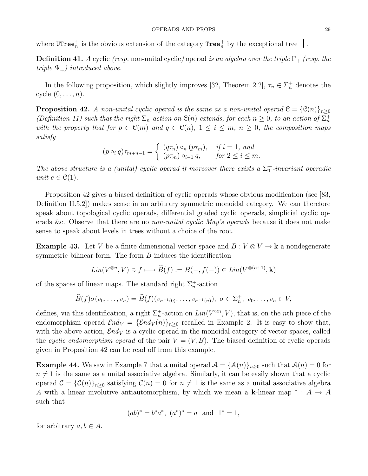where  $\text{UTree}_n^+$  is the obvious extension of the category  $\text{Tree}_n^+$  by the exceptional tree .

**Definition 41.** A cyclic (resp. non-unital cyclic) operad is an algebra over the triple  $\Gamma_+$  (resp. the triple  $\Psi_{+}$ ) introduced above.

In the following proposition, which slightly improves [32, Theorem 2.2],  $\tau_n \in \Sigma_n^+$  denotes the cycle  $(0, \ldots, n)$ .

**Proposition 42.** A non-unital cyclic operad is the same as a non-unital operad  $\mathcal{C} = \{ \mathcal{C}(n) \}_{n \geq 0}$ (Definition 11) such that the right  $\Sigma_n$ -action on  $\mathcal{C}(n)$  extends, for each  $n \geq 0$ , to an action of  $\Sigma_n^+$ with the property that for  $p \in \mathcal{C}(m)$  and  $q \in \mathcal{C}(n)$ ,  $1 \leq i \leq m$ ,  $n \geq 0$ , the composition maps satisfy

$$
(p \circ_i q)\tau_{m+n-1} = \begin{cases} (q\tau_n) \circ_n (p\tau_m), & \text{if } i = 1, \text{ and} \\ (p\tau_m) \circ_{i-1} q, & \text{for } 2 \le i \le m. \end{cases}
$$

The above structure is a (unital) cyclic operad if moreover there exists a  $\Sigma_1^+$ -invariant operadic unit  $e \in \mathcal{C}(1)$ .

Proposition 42 gives a biased definition of cyclic operads whose obvious modification (see [83, Definition II.5.2]) makes sense in an arbitrary symmetric monoidal category. We can therefore speak about topological cyclic operads, differential graded cyclic operads, simplicial cyclic operads &c. Observe that there are no *non-unital cyclic May's operads* because it does not make sense to speak about levels in trees without a choice of the root.

**Example 43.** Let V be a finite dimensional vector space and  $B: V \otimes V \to \mathbf{k}$  a nondegenerate symmetric bilinear form. The form  $B$  induces the identification

$$
Lin(V^{\otimes n}, V) \ni f \longmapsto \widehat{B}(f) := B(-, f(-)) \in Lin(V^{\otimes (n+1)}, \mathbf{k})
$$

of the spaces of linear maps. The standard right  $\Sigma_n^+$ -action

$$
\widehat{B}(f)\sigma(v_0,\ldots,v_n)=\widehat{B}(f)(v_{\sigma^{-1}(0)},\ldots,v_{\sigma^{-1}(n)}),\ \sigma\in\Sigma_n^+,v_0,\ldots,v_n\in V,
$$

defines, via this identification, a right  $\Sigma_n^+$ -action on  $Lin(V^{\otimes n}, V)$ , that is, on the nth piece of the endomorphism operad  $\mathcal{E}nd_V = {\mathcal{E}nd_V(n)}_{n\geq 0}$  recalled in Example 2. It is easy to show that, with the above action,  $\mathcal{E}nd_V$  is a cyclic operad in the monoidal category of vector spaces, called the cyclic endomorphism operad of the pair  $V = (V, B)$ . The biased definition of cyclic operads given in Proposition 42 can be read off from this example.

**Example 44.** We saw in Example 7 that a unital operad  $A = {\mathcal{A}(n)}_{n>0}$  such that  $\mathcal{A}(n) = 0$  for  $n \neq 1$  is the same as a unital associative algebra. Similarly, it can be easily shown that a cyclic operad  $\mathcal{C} = {\mathcal{C}(n)}_{n\geq 0}$  satisfying  $\mathcal{C}(n) = 0$  for  $n \neq 1$  is the same as a unital associative algebra A with a linear involutive antiautomorphism, by which we mean a k-linear map  $* : A \rightarrow A$ such that

$$
(ab)^* = b^*a^*, (a^*)^* = a
$$
 and  $1^* = 1$ ,

for arbitrary  $a, b \in A$ .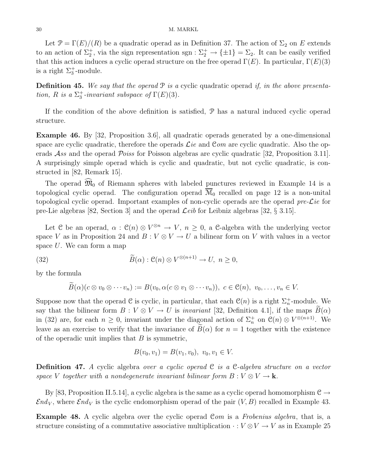Let  $\mathcal{P} = \Gamma(E)/(R)$  be a quadratic operad as in Definition 37. The action of  $\Sigma_2$  on E extends to an action of  $\Sigma_2^+$ , via the sign representation sgn :  $\Sigma_2^+ \to {\pm 1} = \Sigma_2$ . It can be easily verified that this action induces a cyclic operad structure on the free operad  $\Gamma(E)$ . In particular,  $\Gamma(E)(3)$ is a right  $\Sigma_3^+$ -module.

**Definition 45.** We say that the operad  $P$  is a cyclic quadratic operad if, in the above presentation, R is a  $\Sigma_3^+$ -invariant subspace of  $\Gamma(E)(3)$ .

If the condition of the above definition is satisfied, P has a natural induced cyclic operad structure.

Example 46. By [32, Proposition 3.6], all quadratic operads generated by a one-dimensional space are cyclic quadratic, therefore the operads  $\mathcal{L}ie$  and  $\mathcal{C}om$  are cyclic quadratic. Also the operads Ass and the operad Poiss for Poisson algebras are cyclic quadratic [32, Proposition 3.11]. A surprisingly simple operad which is cyclic and quadratic, but not cyclic quadratic, is constructed in [82, Remark 15].

The operad  $\widehat{\mathfrak{M}}_0$  of Riemann spheres with labeled punctures reviewed in Example 14 is a topological cyclic operad. The configuration operad  $\overline{M}_0$  recalled on page 12 is a non-unital topological cyclic operad. Important examples of non-cyclic operads are the operad pre- $\mathcal{L}ie$  for pre-Lie algebras [82, Section 3] and the operad  $\mathcal{L}eib$  for Leibniz algebras [32, § 3.15].

Let C be an operad,  $\alpha$ :  $\mathcal{C}(n) \otimes V^{\otimes n} \to V$ ,  $n \geq 0$ , a C-algebra with the underlying vector space V as in Proposition 24 and  $B: V \otimes V \to U$  a bilinear form on V with values in a vector space U. We can form a map

(32) 
$$
\widetilde{B}(\alpha) : \mathfrak{C}(n) \otimes V^{\otimes (n+1)} \to U, \ n \geq 0,
$$

by the formula

$$
\widetilde{B}(\alpha)(c\otimes v_0\otimes\cdots v_n):=B(v_0,\alpha(c\otimes v_1\otimes\cdots v_n)),\ c\in\mathfrak{C}(n),\ v_0,\ldots,v_n\in V.
$$

Suppose now that the operad  $\mathcal C$  is cyclic, in particular, that each  $\mathcal C(n)$  is a right  $\Sigma_n^+$ -module. We say that the bilinear form  $B: V \otimes V \to U$  is *invariant* [32, Definition 4.1], if the maps  $B(\alpha)$ in (32) are, for each  $n \geq 0$ , invariant under the diagonal action of  $\Sigma_n^+$  on  $\mathcal{C}(n) \otimes V^{\otimes (n+1)}$ . We leave as an exercise to verify that the invariance of  $B(\alpha)$  for  $n = 1$  together with the existence of the operadic unit implies that  $B$  is symmetric,

$$
B(v_0, v_1) = B(v_1, v_0), v_0, v_1 \in V.
$$

**Definition 47.** A cyclic algebra over a cyclic operad  $C$  is a  $C$ -algebra structure on a vector space V together with a nondegenerate invariant bilinear form  $B: V \otimes V \to \mathbf{k}$ .

By [83, Proposition II.5.14], a cyclic algebra is the same as a cyclic operad homomorphism  $\mathcal{C} \rightarrow$  $\mathcal{E}nd_V$ , where  $\mathcal{E}nd_V$  is the cyclic endomorphism operad of the pair  $(V, B)$  recalled in Example 43.

Example 48. A cyclic algebra over the cyclic operad Com is a Frobenius algebra, that is, a structure consisting of a commutative associative multiplication  $\cdot : V \otimes V \to V$  as in Example 25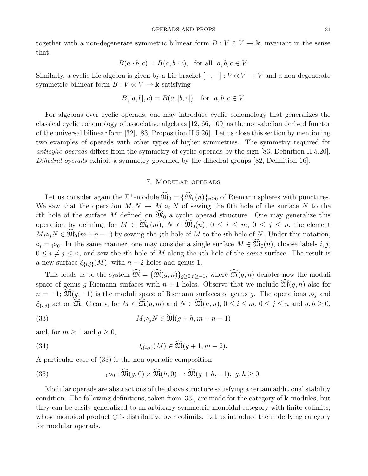together with a non-degenerate symmetric bilinear form  $B: V \otimes V \to \mathbf{k}$ , invariant in the sense that

$$
B(a \cdot b, c) = B(a, b \cdot c), \text{ for all } a, b, c \in V.
$$

Similarly, a cyclic Lie algebra is given by a Lie bracket  $[-,-]: V \otimes V \to V$  and a non-degenerate symmetric bilinear form  $B : V \otimes V \to \mathbf{k}$  satisfying

$$
B([a, b], c) = B(a, [b, c]), \text{ for } a, b, c \in V.
$$

For algebras over cyclic operads, one may introduce cyclic cohomology that generalizes the classical cyclic cohomology of associative algebras [12, 66, 109] as the non-abelian derived functor of the universal bilinear form [32], [83, Proposition II.5.26]. Let us close this section by mentioning two examples of operads with other types of higher symmetries. The symmetry required for anticylic operads differs from the symmetry of cyclic operads by the sign [83, Definition II.5.20]. Dihedral operads exhibit a symmetry governed by the dihedral groups [82, Definition 16].

#### 7. Modular operads

Let us consider again the  $\Sigma^+$ -module  $\widehat{\mathfrak{M}}_0 = {\widehat{\mathfrak{M}}_0(n)}_{n\geq 0}$  of Riemann spheres with punctures. We saw that the operation  $M, N \mapsto M \circ_i N$  of sewing the 0th hole of the surface N to the ith hole of the surface M defined on  $\widehat{\mathfrak{M}}_0$  a cyclic operad structure. One may generalize this operation by defining, for  $M \in \widehat{\mathfrak{M}}_0(m)$ ,  $N \in \widehat{\mathfrak{M}}_0(n)$ ,  $0 \leq i \leq m$ ,  $0 \leq j \leq n$ , the element  $M_i \circ_i N \in \mathfrak{M}_0(m+n-1)$  by sewing the jth hole of M to the *i*th hole of N. Under this notation,  $\circ_i = i \circ_0$ . In the same manner, one may consider a single surface  $M \in \widehat{\mathfrak{M}}_0(n)$ , choose labels  $i, j$ ,  $0 \leq i \neq j \leq n$ , and sew the *i*th hole of M along the *j*th hole of the *same* surface. The result is a new surface  $\xi_{\{i,j\}}(M)$ , with  $n-2$  holes and genus 1.

This leads us to the system  $\widehat{\mathfrak{M}} = {\widehat{\mathfrak{M}}(g,n)}_{q>0,n>-1}$ , where  $\widehat{\mathfrak{M}}(g,n)$  denotes now the moduli space of genus g Riemann surfaces with  $n + 1$  holes. Observe that we include  $\mathfrak{M}(g, n)$  also for  $n = -1$ ;  $\widehat{\mathfrak{M}}(g, -1)$  is the moduli space of Riemann surfaces of genus g. The operations  $i \circ_i$  and  $\xi_{\{i,j\}}$  act on  $\widehat{\mathfrak{M}}$ . Clearly, for  $M \in \widehat{\mathfrak{M}}(g,m)$  and  $N \in \widehat{\mathfrak{M}}(h,n)$ ,  $0 \leq i \leq m$ ,  $0 \leq j \leq n$  and  $g, h \geq 0$ ,

(33) 
$$
M_i \circ_j N \in \widehat{\mathfrak{M}}(g+h, m+n-1)
$$

and, for  $m \geq 1$  and  $g \geq 0$ ,

(34) 
$$
\xi_{\{i,j\}}(M) \in \widehat{\mathfrak{M}}(g+1,m-2).
$$

A particular case of (33) is the non-operadic composition

(35) 
$$
{}_{0} \circ_{0} : \widehat{\mathfrak{M}}(g, 0) \times \widehat{\mathfrak{M}}(h, 0) \to \widehat{\mathfrak{M}}(g+h, -1), \ g, h \geq 0.
$$

Modular operads are abstractions of the above structure satisfying a certain additional stability condition. The following definitions, taken from [33], are made for the category of k-modules, but they can be easily generalized to an arbitrary symmetric monoidal category with finite colimits, whose monoidal product  $\odot$  is distributive over colimits. Let us introduce the underlying category for modular operads.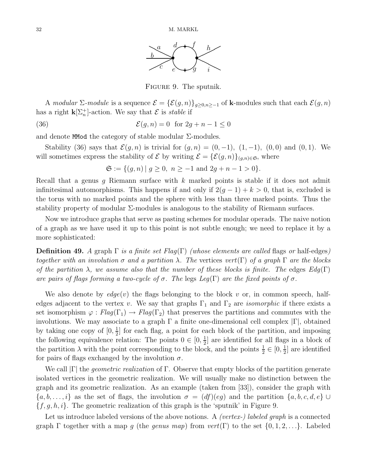

Figure 9. The sputnik.

A modular  $\Sigma$ -module is a sequence  $\mathcal{E} = {\{\mathcal{E}(g,n)\}_{g\geq0,n\geq-1}}}$  of **k**-modules such that each  $\mathcal{E}(g,n)$ has a right  $\mathbf{k}[\Sigma_n^+]$ -action. We say that  $\mathcal E$  is *stable* if

(36) 
$$
\mathcal{E}(g,n) = 0 \text{ for } 2g+n-1 \leq 0
$$

and denote MMod the category of stable modular  $\Sigma$ -modules.

Stability (36) says that  $\mathcal{E}(g, n)$  is trivial for  $(g, n) = (0, -1)$ ,  $(1, -1)$ ,  $(0, 0)$  and  $(0, 1)$ . We will sometimes express the stability of  $\mathcal E$  by writing  $\mathcal E = {\mathcal{E}(g,n)}_{(g,n)\in\mathfrak{S}}$ , where

 $\mathfrak{S} := \{(q, n) | q > 0, n \ge -1 \text{ and } 2q + n - 1 > 0\}.$ 

Recall that a genus g Riemann surface with  $k$  marked points is stable if it does not admit infinitesimal automorphisms. This happens if and only if  $2(g-1) + k > 0$ , that is, excluded is the torus with no marked points and the sphere with less than three marked points. Thus the stability property of modular  $\Sigma$ -modules is analogous to the stability of Riemann surfaces.

Now we introduce graphs that serve as pasting schemes for modular operads. The naive notion of a graph as we have used it up to this point is not subtle enough; we need to replace it by a more sophisticated:

**Definition 49.** A graph  $\Gamma$  is a finite set Flag( $\Gamma$ ) (whose elements are called flags or half-edges) together with an involution  $\sigma$  and a partition  $\lambda$ . The vertices vert(Γ) of a graph  $\Gamma$  are the blocks of the partition  $\lambda$ , we assume also that the number of these blocks is finite. The edges  $Edg(\Gamma)$ are pairs of flags forming a two-cycle of  $\sigma$ . The legs Leg(Γ) are the fixed points of  $\sigma$ .

We also denote by  $edge(v)$  the flags belonging to the block v or, in common speech, halfedges adjacent to the vertex v. We say that graphs  $\Gamma_1$  and  $\Gamma_2$  are *isomorphic* if there exists a set isomorphism  $\varphi : Flag(\Gamma_1) \to Flag(\Gamma_2)$  that preserves the partitions and commutes with the involutions. We may associate to a graph  $\Gamma$  a finite one-dimensional cell complex  $|\Gamma|$ , obtained by taking one copy of  $[0, \frac{1}{2}]$  $\frac{1}{2}$  for each flag, a point for each block of the partition, and imposing the following equivalence relation: The points  $0 \in [0, \frac{1}{2}]$  $\frac{1}{2}$  are identified for all flags in a block of the partition  $\lambda$  with the point corresponding to the block, and the points  $\frac{1}{2} \in [0, \frac{1}{2}]$  $\frac{1}{2}$  are identified for pairs of flags exchanged by the involution  $\sigma$ .

We call  $|\Gamma|$  the *geometric realization* of  $\Gamma$ . Observe that empty blocks of the partition generate isolated vertices in the geometric realization. We will usually make no distinction between the graph and its geometric realization. As an example (taken from [33]), consider the graph with  $\{a, b, \ldots, i\}$  as the set of flags, the involution  $\sigma = (df)(eg)$  and the partition  $\{a, b, c, d, e\}$  $\{f, g, h, i\}$ . The geometric realization of this graph is the 'sputnik' in Figure 9.

Let us introduce labeled versions of the above notions. A *(vertex-)* labeled graph is a connected graph  $\Gamma$  together with a map g (the genus map) from vert( $\Gamma$ ) to the set  $\{0, 1, 2, \ldots\}$ . Labeled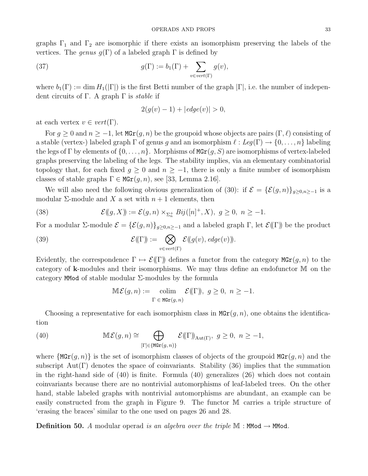graphs  $\Gamma_1$  and  $\Gamma_2$  are isomorphic if there exists an isomorphism preserving the labels of the vertices. The genus  $g(\Gamma)$  of a labeled graph  $\Gamma$  is defined by

(37) 
$$
g(\Gamma) := b_1(\Gamma) + \sum_{v \in vert(\Gamma)} g(v),
$$

where  $b_1(\Gamma) := \dim H_1(|\Gamma|)$  is the first Betti number of the graph  $|\Gamma|$ , i.e. the number of independent circuits of Γ. A graph Γ is *stable* if

$$
2(g(v) - 1) + |edge(v)| > 0,
$$

at each vertex  $v \in vert(\Gamma)$ .

For  $g \geq 0$  and  $n \geq -1$ , let  $\text{MGr}(g, n)$  be the groupoid whose objects are pairs  $(\Gamma, \ell)$  consisting of a stable (vertex-) labeled graph  $\Gamma$  of genus g and an isomorphism  $\ell : Leg(\Gamma) \to \{0, \ldots, n\}$  labeling the legs of  $\Gamma$  by elements of  $\{0, \ldots, n\}$ . Morphisms of  $MGr(g, S)$  are isomorphisms of vertex-labeled graphs preserving the labeling of the legs. The stability implies, via an elementary combinatorial topology that, for each fixed  $g \geq 0$  and  $n \geq -1$ , there is only a finite number of isomorphism classes of stable graphs  $\Gamma \in \text{MGr}(g, n)$ , see [33, Lemma 2.16].

We will also need the following obvious generalization of (30): if  $\mathcal{E} = {\mathcal{E}(g,n)}_{g>0,n>-1}$  is a modular  $\Sigma$ -module and X a set with  $n+1$  elements, then

(38) 
$$
\mathcal{E}((g,X)) := \mathcal{E}(g,n) \times_{\Sigma_n^+} Bij([n]^+,X), \ g \ge 0, \ n \ge -1.
$$

For a modular  $\Sigma$ -module  $\mathcal{E} = {\mathcal{E}(g,n)}_{g\geq 0,n\geq -1}$  and a labeled graph  $\Gamma$ , let  $\mathcal{E}(\Gamma)$  be the product

(39) 
$$
\mathcal{E}(\Gamma) := \bigotimes_{v \in vert(\Gamma)} \mathcal{E}(\mathfrak{g}(v), edge(v))).
$$

Evidently, the correspondence  $\Gamma \mapsto \mathcal{E}(\Gamma)$  defines a functor from the category  $\mathbf{MGr}(g,n)$  to the category of k-modules and their isomorphisms. We may thus define an endofunctor M on the category MMod of stable modular Σ-modules by the formula

$$
\mathbb{M}\mathcal{E}(g,n) := \underset{\Gamma \in \text{MGr}(g,n)}{\text{colim}} \mathcal{E}(\Gamma), \ g \ge 0, \ n \ge -1.
$$

Choosing a representative for each isomorphism class in  $\text{MGr}(q, n)$ , one obtains the identification

(40) 
$$
\mathbb{M}\mathcal{E}(g,n) \cong \bigoplus_{[\Gamma]\in \{\text{MGr}(g,n)\}} \mathcal{E}(\Gamma)_{\text{Aut}(\Gamma)}, \ g \ge 0, \ n \ge -1,
$$

where  $\{\text{MGr}(g,n)\}\$ is the set of isomorphism classes of objects of the groupoid  $\text{MGr}(g,n)$  and the subscript  $Aut(\Gamma)$  denotes the space of coinvariants. Stability (36) implies that the summation in the right-hand side of (40) is finite. Formula (40) generalizes (26) which does not contain coinvariants because there are no nontrivial automorphisms of leaf-labeled trees. On the other hand, stable labeled graphs with nontrivial automorphisms are abundant, an example can be easily constructed from the graph in Figure 9. The functor M carries a triple structure of 'erasing the braces' similar to the one used on pages 26 and 28.

**Definition 50.** A modular operad is an algebra over the triple  $M$  : MMod  $\rightarrow$  MMod.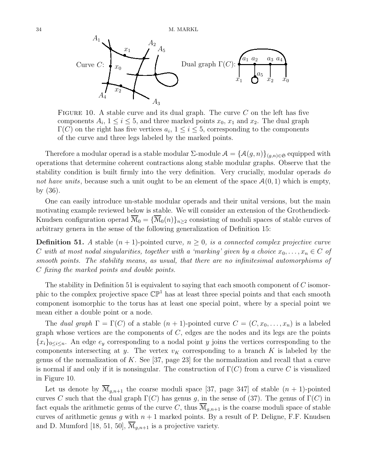

FIGURE 10. A stable curve and its dual graph. The curve  $C$  on the left has five components  $A_i$ ,  $1 \le i \le 5$ , and three marked points  $x_0$ ,  $x_1$  and  $x_2$ . The dual graph  $\Gamma(C)$  on the right has five vertices  $a_i$ ,  $1 \leq i \leq 5$ , corresponding to the components of the curve and three legs labeled by the marked points.

Therefore a modular operad is a stable modular  $\Sigma$ -module  $\mathcal{A} = \{\mathcal{A}(g,n)\}_{(g,n)\in\mathfrak{S}}$  equipped with operations that determine coherent contractions along stable modular graphs. Observe that the stability condition is built firmly into the very definition. Very crucially, modular operads do not have units, because such a unit ought to be an element of the space  $\mathcal{A}(0,1)$  which is empty, by (36).

One can easily introduce un-stable modular operads and their unital versions, but the main motivating example reviewed below is stable. We will consider an extension of the Grothendieck-Knudsen configuration operad  $\overline{\mathcal{M}}_0 = {\overline{\mathcal{M}}_0(n)}_{n>2}$  consisting of moduli spaces of stable curves of arbitrary genera in the sense of the following generalization of Definition 15:

**Definition 51.** A stable  $(n + 1)$ -pointed curve,  $n \geq 0$ , is a connected complex projective curve C with at most nodal singularities, together with a 'marking' given by a choice  $x_0, \ldots, x_n \in C$  of smooth points. The stability means, as usual, that there are no infinitesimal automorphisms of C fixing the marked points and double points.

The stability in Definition 51 is equivalent to saying that each smooth component of  $C$  isomorphic to the complex projective space  $\mathbb{CP}^1$  has at least three special points and that each smooth component isomorphic to the torus has at least one special point, where by a special point we mean either a double point or a node.

The dual graph  $\Gamma = \Gamma(C)$  of a stable  $(n + 1)$ -pointed curve  $C = (C, x_0, \ldots, x_n)$  is a labeled graph whose vertices are the components of  $C$ , edges are the nodes and its legs are the points  ${x_i}_{0 \leq i \leq n}$ . An edge  $e_y$  corresponding to a nodal point y joins the vertices corresponding to the components intersecting at y. The vertex  $v_K$  corresponding to a branch K is labeled by the genus of the normalization of K. See [37, page 23] for the normalization and recall that a curve is normal if and only if it is nonsingular. The construction of  $\Gamma(C)$  from a curve C is visualized in Figure 10.

Let us denote by  $\overline{\mathcal{M}}_{q,n+1}$  the coarse moduli space [37, page 347] of stable  $(n + 1)$ -pointed curves C such that the dual graph  $\Gamma(C)$  has genus g, in the sense of (37). The genus of  $\Gamma(C)$  in fact equals the arithmetic genus of the curve C, thus  $\overline{\mathcal{M}}_{g,n+1}$  is the coarse moduli space of stable curves of arithmetic genus q with  $n + 1$  marked points. By a result of P. Deligne, F.F. Knudsen and D. Mumford [18, 51, 50],  $\mathcal{M}_{q,n+1}$  is a projective variety.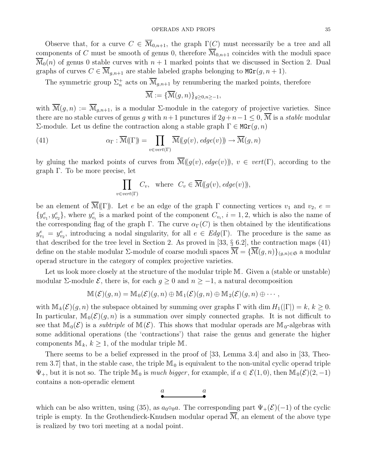Observe that, for a curve  $C \in \overline{\mathcal{M}}_{0,n+1}$ , the graph  $\Gamma(C)$  must necessarily be a tree and all components of C must be smooth of genus 0, therefore  $\mathcal{M}_{0,n+1}$  coincides with the moduli space  $\mathcal{M}_0(n)$  of genus 0 stable curves with  $n+1$  marked points that we discussed in Section 2. Dual graphs of curves  $C \in \overline{\mathcal{M}}_{g,n+1}$  are stable labeled graphs belonging to  $\mathbf{MGr}(g,n+1)$ .

The symmetric group  $\Sigma_n^+$  acts on  $\overline{\mathcal{M}}_{g,n+1}$  by renumbering the marked points, therefore

$$
\overline{\mathcal{M}} := \{ \overline{\mathcal{M}}(g, n) \}_{g \ge 0, n \ge -1},
$$

with  $\overline{\mathcal{M}}(g,n) := \overline{\mathcal{M}}_{g,n+1}$ , is a modular  $\Sigma$ -module in the category of projective varieties. Since there are no stable curves of genus g with  $n+1$  punctures if  $2g+n-1 \leq 0$ ,  $\overline{M}$  is a *stable* modular Σ-module. Let us define the contraction along a stable graph  $Γ ∈ MGr(g, n)$ 

(41) 
$$
\alpha_{\Gamma} : \overline{\mathcal{M}}(\Gamma) = \prod_{v \in vert(\Gamma)} \overline{\mathcal{M}}((g(v), edge(v))) \to \overline{\mathcal{M}}(g, n)
$$

by gluing the marked points of curves from  $\overline{\mathcal{M}}((g(v), edge(v))), v \in vert(\Gamma)$ , according to the graph Γ. To be more precise, let

$$
\prod_{v \in vert(\Gamma)} C_v, \text{ where } C_v \in \overline{\mathcal{M}}((g(v), edge(v))),
$$

be an element of  $\mathcal{M}(\Gamma)$ . Let e be an edge of the graph  $\Gamma$  connecting vertices  $v_1$  and  $v_2$ ,  $e =$  $\{y_{v_1}^e, y_{v_2}^e\}$ , where  $y_{v_i}^e$  is a marked point of the component  $C_{v_i}$ ,  $i = 1, 2$ , which is also the name of the corresponding flag of the graph Γ. The curve  $\alpha_{\Gamma}(C)$  is then obtained by the identifications  $y_{v_1}^e = y_{v_2}^e$ , introducing a nodal singularity, for all  $e \in Edg(\Gamma)$ . The procedure is the same as that described for the tree level in Section 2. As proved in [33, § 6.2], the contraction maps (41) define on the stable modular  $\Sigma$ -module of coarse moduli spaces  $\overline{\mathcal{M}} = {\overline{\mathcal{M}}(g,n)}_{(g,n)\in\mathfrak{S}}$  a modular operad structure in the category of complex projective varieties.

Let us look more closely at the structure of the modular triple M. Given a (stable or unstable) modular  $\Sigma$ -module  $\mathcal{E}$ , there is, for each  $g \geq 0$  and  $n \geq -1$ , a natural decomposition

$$
\mathbb{M}(\mathcal{E})(g,n) = \mathbb{M}_0(\mathcal{E})(g,n) \oplus \mathbb{M}_1(\mathcal{E})(g,n) \oplus \mathbb{M}_2(\mathcal{E})(g,n) \oplus \cdots,
$$

with  $\mathbb{M}_k(\mathcal{E})(g, n)$  the subspace obtained by summing over graphs  $\Gamma$  with dim  $H_1(|\Gamma|) = k, k \geq 0$ . In particular,  $\mathbb{M}_{0}(\mathcal{E})(g, n)$  is a summation over simply connected graphs. It is not difficult to see that  $\mathbb{M}_{0}(\mathcal{E})$  is a *subtriple* of  $\mathbb{M}(\mathcal{E})$ . This shows that modular operads are  $\mathbb{M}_{0}$ -algebras with some additional operations (the 'contractions') that raise the genus and generate the higher components  $\mathbb{M}_k$ ,  $k \geq 1$ , of the modular triple M.

There seems to be a belief expressed in the proof of [33, Lemma 3.4] and also in [33, Theorem 3.7 that, in the stable case, the triple  $\mathbb{M}_0$  is equivalent to the non-unital cyclic operad triple  $\Psi_+$ , but it is not so. The triple  $\mathbb{M}_0$  is much bigger, for example, if  $a \in \mathcal{E}(1,0)$ , then  $\mathbb{M}_0(\mathcal{E})(2,-1)$ contains a non-operadic element

$$
\overset{a}{\bullet} \qquad \qquad \overset{a}{\bullet}
$$

which can be also written, using (35), as  $a_0 \circ_0 a$ . The corresponding part  $\Psi_+(\mathcal{E})(-1)$  of the cyclic triple is empty. In the Grothendieck-Knudsen modular operad  $\overline{M}$ , an element of the above type is realized by two tori meeting at a nodal point.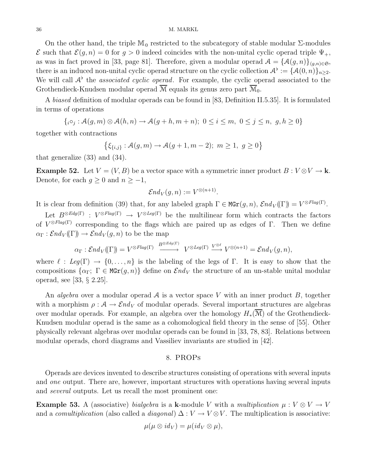#### 36 M. MARKL

On the other hand, the triple  $\mathbb{M}_0$  restricted to the subcategory of stable modular  $\Sigma$ -modules  $\mathcal E$  such that  $\mathcal E(g,n) = 0$  for  $g > 0$  indeed coincides with the non-unital cyclic operad triple  $\Psi_+$ , as was in fact proved in [33, page 81]. Therefore, given a modular operad  $A = \{A(g, n)\}_{(g,n)\in\mathfrak{S}}$ , there is an induced non-unital cyclic operad structure on the cyclic collection  $\mathcal{A}^{\flat} := {\{\mathcal{A}(0,n)\}}_{n \geq 2}$ . We will call  $A^{\flat}$  the *associated cyclic operad*. For example, the cyclic operad associated to the Grothendieck-Knudsen modular operad  $\overline{M}$  equals its genus zero part  $\overline{M}_0$ .

A biased definition of modular operads can be found in [83, Definition II.5.35]. It is formulated in terms of operations

$$
\{i \circ_j : \mathcal{A}(g,m) \otimes \mathcal{A}(h,n) \to \mathcal{A}(g+h,m+n); \ 0 \le i \le m, \ 0 \le j \le n, \ g,h \ge 0\}
$$

together with contractions

$$
\left\{\xi_{\{i,j\}}: \mathcal{A}(g,m) \to \mathcal{A}(g+1,m-2); \ m \ge 1, \ g \ge 0\right\}
$$

that generalize (33) and (34).

**Example 52.** Let  $V = (V, B)$  be a vector space with a symmetric inner product  $B : V \otimes V \to \mathbf{k}$ . Denote, for each  $g \geq 0$  and  $n \geq -1$ ,

$$
\mathcal{E} nd_V(g,n) := V^{\otimes (n+1)}
$$

.

It is clear from definition (39) that, for any labeled graph  $\Gamma \in \text{MGr}(g,n)$ ,  $\mathcal{E}nd_V(\Gamma) = V^{\otimes Flag(\Gamma)}$ .

Let  $B^{\otimes Edg(\Gamma)}$  :  $V^{\otimes Flag(\Gamma)} \to V^{\otimes Leg(\Gamma)}$  be the multilinear form which contracts the factors of  $V^{\otimes Flag(\Gamma)}$  corresponding to the flags which are paired up as edges of Γ. Then we define  $\alpha_{\Gamma} : \mathcal{E}nd_V(\Gamma) \to \mathcal{E}nd_V(q,n)$  to be the map

$$
\alpha_{\Gamma}: \mathcal{E}nd_V(\Gamma) = V^{\otimes Flag(\Gamma)} \xrightarrow{B^{\otimes Edg(\Gamma)}} V^{\otimes Leg(\Gamma)} \xrightarrow{V^{\otimes \ell}} V^{\otimes (n+1)} = \mathcal{E}nd_V(g, n),
$$

where  $\ell : Leg(\Gamma) \to \{0, \ldots, n\}$  is the labeling of the legs of Γ. It is easy to show that the compositions  $\{\alpha_{\Gamma}; \Gamma \in \text{MGr}(q,n)\}\$  define on  $\mathcal{E}nd_V$  the structure of an un-stable unital modular operad, see [33, § 2.25].

An *algebra* over a modular operad A is a vector space V with an inner product B, together with a morphism  $\rho : A \to \mathcal{E}nd_V$  of modular operads. Several important structures are algebras over modular operads. For example, an algebra over the homology  $H_*(\overline{\mathcal{M}})$  of the Grothendieck-Knudsen modular operad is the same as a cohomological field theory in the sense of [55]. Other physically relevant algebras over modular operads can be found in [33, 78, 83]. Relations between modular operads, chord diagrams and Vassiliev invariants are studied in [42].

#### 8. PROPs

Operads are devices invented to describe structures consisting of operations with several inputs and *one* output. There are, however, important structures with operations having several inputs and several outputs. Let us recall the most prominent one:

**Example 53.** A (associative) bialgebra is a k-module V with a multiplication  $\mu: V \otimes V \rightarrow V$ and a *comultiplication* (also called a *diagonal*)  $\Delta : V \to V \otimes V$ . The multiplication is associative:

$$
\mu(\mu\otimes id_V)=\mu(id_V\otimes \mu),
$$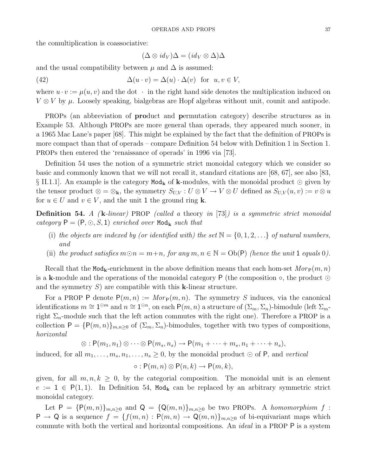the comultiplication is coassociative:

$$
(\Delta \otimes id_V)\Delta = (id_V \otimes \Delta)\Delta
$$

and the usual compatibility between  $\mu$  and  $\Delta$  is assumed:

(42) 
$$
\Delta(u \cdot v) = \Delta(u) \cdot \Delta(v) \text{ for } u, v \in V,
$$

where  $u \cdot v := \mu(u, v)$  and the dot  $\cdot$  in the right hand side denotes the multiplication induced on  $V \otimes V$  by  $\mu$ . Loosely speaking, bialgebras are Hopf algebras without unit, counit and antipode.

PROPs (an abbreviation of product and permutation category) describe structures as in Example 53. Although PROPs are more general than operads, they appeared much sooner, in a 1965 Mac Lane's paper [68]. This might be explained by the fact that the definition of PROPs is more compact than that of operads – compare Definition 54 below with Definition 1 in Section 1. PROPs then entered the 'renaissance of operads' in 1996 via [73].

Definition 54 uses the notion of a symmetric strict monoidal category which we consider so basic and commonly known that we will not recall it, standard citations are [68, 67], see also [83, § II.1.1]. An example is the category  $Mod_k$  of k-modules, with the monoidal product  $\odot$  given by the tensor product  $\otimes = \otimes_{\mathbf{k}}$ , the symmetry  $S_{U,V} : U \otimes V \to V \otimes U$  defined as  $S_{U,V}(u, v) := v \otimes u$ for  $u \in U$  and  $v \in V$ , and the unit 1 the ground ring **k**.

**Definition 54.** A ( $\bf{k}$ -linear) PROP (called a theory in [73]) is a symmetric strict monoidal category  $P = (P, \odot, S, 1)$  enriched over Mod<sub>k</sub> such that

- (i) the objects are indexed by (or identified with) the set  $\mathbb{N} = \{0, 1, 2, \ldots\}$  of natural numbers, and
- (ii) the product satisfies  $m \odot n = m+n$ , for any  $m, n \in \mathbb{N} = \text{Ob}(\mathsf{P})$  (hence the unit 1 equals 0).

Recall that the Mod<sub>k</sub>-enrichment in the above definition means that each hom-set  $Mor_{\mathsf{P}}(m, n)$ is a k-module and the operations of the monoidal category P (the composition  $\circ$ , the product  $\odot$ and the symmetry  $S$ ) are compatible with this **k**-linear structure.

For a PROP P denote  $P(m, n) := Mor_P(m, n)$ . The symmetry S induces, via the canonical identifications  $m \cong 1^{\odot m}$  and  $n \cong 1^{\odot n}$ , on each  $P(m, n)$  a structure of  $(\Sigma_m, \Sigma_n)$ -bimodule (left  $\Sigma_m$ right  $\Sigma_n$ -module such that the left action commutes with the right one). Therefore a PROP is a collection  $P = {P(m, n)}_{m,n\geq 0}$  of  $(\Sigma_m, \Sigma_n)$ -bimodules, together with two types of compositions, horizontal

$$
\otimes: \mathsf{P}(m_1,n_1) \otimes \cdots \otimes \mathsf{P}(m_s,n_s) \to \mathsf{P}(m_1+\cdots+m_s,n_1+\cdots+n_s),
$$

induced, for all  $m_1, \ldots, m_s, n_1, \ldots, n_s \geq 0$ , by the monoidal product  $\odot$  of P, and vertical

$$
\circ: \mathsf{P}(m, n) \otimes \mathsf{P}(n, k) \to \mathsf{P}(m, k),
$$

given, for all  $m, n, k \geq 0$ , by the categorial composition. The monoidal unit is an element  $e := 1 \in P(1,1)$ . In Definition 54, Mod<sub>k</sub> can be replaced by an arbitrary symmetric strict monoidal category.

Let  $P = {P(m,n)}_{m,n\geq 0}$  and  $Q = {Q(m,n)}_{m,n\geq 0}$  be two PROPs. A homomorphism f:  $P \to Q$  is a sequence  $f = \{f(m,n) : P(m,n) \to Q(m,n)\}_{m,n\geq 0}$  of bi-equivariant maps which commute with both the vertical and horizontal compositions. An ideal in a PROP P is a system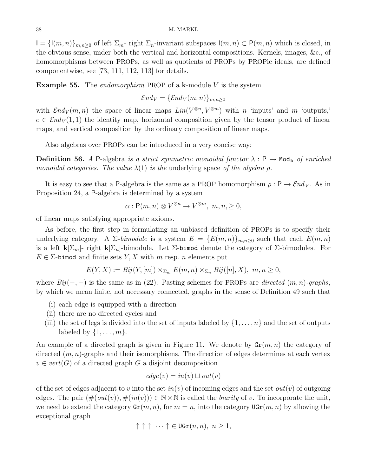$I = \{I(m,n)\}_{m,n\geq 0}$  of left  $\Sigma_m$ - right  $\Sigma_n$ -invariant subspaces  $I(m,n) \subset P(m,n)$  which is closed, in the obvious sense, under both the vertical and horizontal compositions. Kernels, images, &c., of homomorphisms between PROPs, as well as quotients of PROPs by PROPic ideals, are defined componentwise, see [73, 111, 112, 113] for details.

**Example 55.** The *endomorphism* PROP of a **k**-module V is the system

$$
\mathcal{E} nd_V=\{\mathcal{E} nd_V(m,n)\}_{m,n\geq 0}
$$

with  $\mathcal{E}nd_V(m,n)$  the space of linear maps  $Lin(V^{\otimes n}, V^{\otimes m})$  with n 'inputs' and m 'outputs,'  $e \in \mathcal{E} nd_V(1,1)$  the identity map, horizontal composition given by the tensor product of linear maps, and vertical composition by the ordinary composition of linear maps.

Also algebras over PROPs can be introduced in a very concise way:

**Definition 56.** A P-algebra is a strict symmetric monoidal functor  $\lambda : \mathsf{P} \to \mathsf{Mod}_{\mathbf{k}}$  of enriched monoidal categories. The value  $\lambda(1)$  is the underlying space of the algebra  $\rho$ .

It is easy to see that a P-algebra is the same as a PROP homomorphism  $\rho : \mathsf{P} \to \mathcal{E} nd_V$ . As in Proposition 24, a P-algebra is determined by a system

$$
\alpha: \mathsf{P}(m,n) \otimes V^{\otimes n} \to V^{\otimes m}, \ m, n, \geq 0,
$$

of linear maps satisfying appropriate axioms.

As before, the first step in formulating an unbiased definition of PROPs is to specify their underlying category. A  $\Sigma$ -bimodule is a system  $E = \{E(m,n)\}_{m,n\geq 0}$  such that each  $E(m,n)$ is a left  $\mathbf{k}[\Sigma_m]$ - right  $\mathbf{k}[\Sigma_n]$ -bimodule. Let  $\Sigma$ -bimod denote the category of  $\Sigma$ -bimodules. For  $E \in \Sigma$ -bimod and finite sets Y, X with m resp. n elements put

$$
E(Y, X) := Bij(Y, [m]) \times_{\Sigma_m} E(m, n) \times_{\Sigma_n} Bij([n], X), \ m, n \ge 0,
$$

where  $Bij(-,-)$  is the same as in (22). Pasting schemes for PROPs are *directed*  $(m, n)$ -graphs, by which we mean finite, not necessary connected, graphs in the sense of Definition 49 such that

- (i) each edge is equipped with a direction
- (ii) there are no directed cycles and
- (iii) the set of legs is divided into the set of inputs labeled by  $\{1, \ldots, n\}$  and the set of outputs labeled by  $\{1, \ldots, m\}$ .

An example of a directed graph is given in Figure 11. We denote by  $\text{Gr}(m, n)$  the category of directed  $(m, n)$ -graphs and their isomorphisms. The direction of edges determines at each vertex  $v \in vert(G)$  of a directed graph G a disjoint decomposition

$$
edge(v) = in(v) \sqcup out(v)
$$

of the set of edges adjacent to v into the set  $in(v)$  of incoming edges and the set  $out(v)$  of outgoing edges. The pair  $(\#(out(v)), \#(in(v))) \in \mathbb{N} \times \mathbb{N}$  is called the *biarity* of v. To incorporate the unit, we need to extend the category  $\text{Gr}(m, n)$ , for  $m = n$ , into the category  $\text{UGr}(m, n)$  by allowing the exceptional graph

$$
\uparrow \uparrow \uparrow \cdots \uparrow \in \text{UGr}(n, n), \ n \ge 1,
$$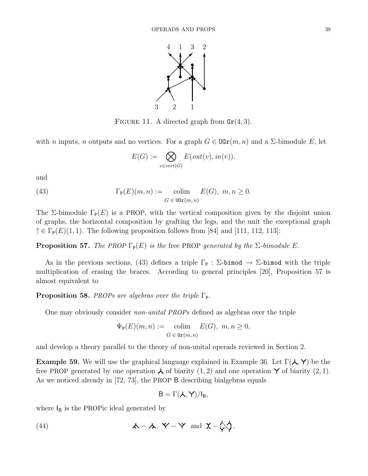

FIGURE 11. A directed graph from  $\text{Gr}(4,3)$ .

with n inputs, n outputs and no vertices. For a graph  $G \in \text{UGr}(m, n)$  and a  $\Sigma$ -bimodule E, let

$$
E(G) := \bigotimes_{v \in vert(G)} E(out(v), in(v)).
$$

and

(43) 
$$
\Gamma_{\mathbf{P}}(E)(m,n) := \underset{G \in \text{UGr}(m,n)}{\text{colim}} E(G), m, n \ge 0.
$$

The Σ-bimodule  $\Gamma_{\mathbf{P}}(E)$  is a PROP, with the vertical composition given by the disjoint union of graphs, the horizontal composition by grafting the legs, and the unit the exceptional graph  $\uparrow \in \Gamma_{\mathbb{P}}(E)(1,1)$ . The following proposition follows from [84] and [111, 112, 113]:

**Proposition 57.** The PROP  $\Gamma_{\mathbb{P}}(E)$  is the free PROP generated by the  $\Sigma$ -bimodule E.

As in the previous sections, (43) defines a triple  $\Gamma_{\rm P}$  :  $\Sigma$ -bimod  $\rightarrow$   $\Sigma$ -bimod with the triple multiplication of erasing the braces. According to general principles [20], Proposition 57 is almost equivalent to

**Proposition 58.** PROPs are algebras over the triple  $\Gamma_{\text{P}}$ .

One may obviously consider non-unital PROPs defined as algebras over the triple

$$
\Psi_{\mathbf{P}}(E)(m, n) := \text{colim}_{G \in \operatorname{Gr}(m, n)} E(G), \ m, n \ge 0,
$$

and develop a theory parallel to the theory of non-unital operads reviewed in Section 2.

**Example 59.** We will use the graphical language explained in Example 36. Let  $\Gamma(\mathcal{A}, \mathsf{Y})$  be the free PROP generated by one operation  $\lambda$  of biarity  $(1, 2)$  and one operation Y of biarity  $(2, 1)$ . As we noticed already in [72, 73], the PROP B describing bialgebras equals

$$
B=\Gamma(\mathcal{A},Y)/I_B,
$$

where  $I_B$  is the PROPic ideal generated by

(44) 
$$
\mathbf{A} - \mathbf{A}, \ \mathbf{Y} - \mathbf{Y} \ \text{and} \ \mathbf{X} - \mathbf{C} \mathbf{Y}.
$$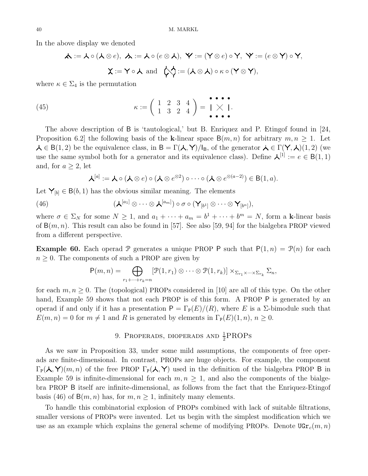In the above display we denoted

$$
\mathcal{A} := \mathcal{A} \circ (\mathcal{A} \otimes e), \ \mathcal{A} := \mathcal{A} \circ (e \otimes \mathcal{A}), \ \mathbf{Y} := (\mathbf{Y} \otimes e) \circ \mathbf{Y}, \ \mathbf{Y} := (e \otimes \mathbf{Y}) \circ \mathbf{Y},
$$

$$
\mathbf{X} := \mathbf{Y} \circ \mathcal{A} \ \text{and} \ \ \mathcal{C} = (\mathcal{A} \otimes \mathcal{A}) \circ \kappa \circ (\mathbf{Y} \otimes \mathbf{Y}),
$$

where  $\kappa \in \Sigma_4$  is the permutation

(45) 
$$
\kappa := \left(\begin{array}{rrr} 1 & 2 & 3 & 4 \\ 1 & 3 & 2 & 4 \end{array}\right) = \begin{array}{l} \bullet \bullet \bullet \bullet \\ \bullet \bullet \bullet \bullet \end{array}.
$$

The above description of B is 'tautological,' but B. Enriquez and P. Etingof found in [24, Proposition 6.2] the following basis of the k-linear space  $B(m, n)$  for arbitrary  $m, n \geq 1$ . Let  $\lambda \in B(1, 2)$  be the equivalence class, in  $B = \Gamma(\lambda, Y)/I_B$ , of the generator  $\lambda \in \Gamma(Y, \lambda)(1, 2)$  (we use the same symbol both for a generator and its equivalence class). Define  $\mathcal{A}^{[1]} := e \in B(1,1)$ and, for  $a \geq 2$ , let

$$
\mathcal{A}^{[a]} := \mathcal{A} \circ (\mathcal{A} \otimes e) \circ (\mathcal{A} \otimes e^{\otimes 2}) \circ \cdots \circ (\mathcal{A} \otimes e^{\otimes (a-2)}) \in B(1,a).
$$

Let  $\mathsf{Y}_{[b]} \in \mathsf{B}(b, 1)$  has the obvious similar meaning. The elements

(46) 
$$
(\mathcal{A}^{[a_1]} \otimes \cdots \otimes \mathcal{A}^{[a_m]}) \circ \sigma \circ (\mathcal{Y}_{[b^1]} \otimes \cdots \otimes \mathcal{Y}_{[b^n]}),
$$

where  $\sigma \in \Sigma_N$  for some  $N \geq 1$ , and  $a_1 + \cdots + a_m = b^1 + \cdots + b^m = N$ , form a k-linear basis of  $B(m, n)$ . This result can also be found in [57]. See also [59, 94] for the bialgebra PROP viewed from a different perspective.

**Example 60.** Each operad P generates a unique PROP P such that  $P(1, n) = P(n)$  for each  $n \geq 0$ . The components of such a PROP are given by

$$
P(m,n) = \bigoplus_{r_1+\cdots+r_k=n} [\mathcal{P}(1,r_1) \otimes \cdots \otimes \mathcal{P}(1,r_k)] \times_{\Sigma_{r_1} \times \cdots \times \Sigma_{r_k}} \Sigma_n,
$$

for each  $m, n \geq 0$ . The (topological) PROPs considered in [10] are all of this type. On the other hand, Example 59 shows that not each PROP is of this form. A PROP P is generated by an operad if and only if it has a presentation  $P = \Gamma_P(E)/(R)$ , where E is a  $\Sigma$ -bimodule such that  $E(m, n) = 0$  for  $m \neq 1$  and R is generated by elements in  $\Gamma_{\mathbb{P}}(E)(1, n), n \geq 0$ .

### 9. PROPERADS, DIOPERADS AND  $\frac{1}{2}$ PROPS

As we saw in Proposition 33, under some mild assumptions, the components of free operads are finite-dimensional. In contrast, PROPs are huge objects. For example, the component  $\Gamma_{\mathbb{P}}(\lambda, \Upsilon)(m, n)$  of the free PROP  $\Gamma_{\mathbb{P}}(\lambda, \Upsilon)$  used in the definition of the bialgebra PROP B in Example 59 is infinite-dimensional for each  $m, n \geq 1$ , and also the components of the bialgebra PROP B itself are infinite-dimensional, as follows from the fact that the Enriquez-Etingof basis (46) of  $B(m, n)$  has, for  $m, n \ge 1$ , infinitely many elements.

To handle this combinatorial explosion of PROPs combined with lack of suitable filtrations, smaller versions of PROPs were invented. Let us begin with the simplest modification which we use as an example which explains the general scheme of modifying PROPs. Denote  $\text{UGr}_c(m, n)$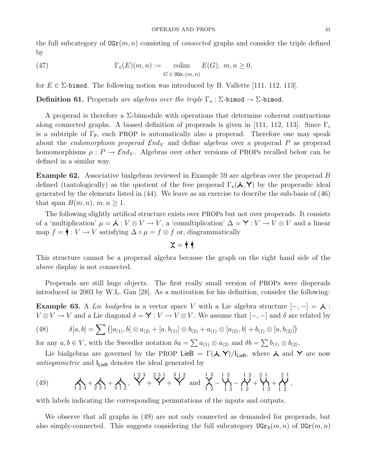the full subcategory of  $\text{UGr}(m, n)$  consisting of *connected* graphs and consider the triple defined by

(47) 
$$
\Gamma_{\mathbf{c}}(E)(m,n) := \underset{G \in \text{UGr}_c(m,n)}{\text{colim}} E(G), \ m, n \ge 0,
$$

for  $E \in \Sigma$ -bimod. The following notion was introduced by B. Vallette [111, 112, 113].

**Definition 61.** Properads are algebras over the triple  $\Gamma_c$ :  $\Sigma$ -bimod  $\rightarrow$   $\Sigma$ -bimod.

A properad is therefore a  $\Sigma$ -bimodule with operations that determine coherent contractions along connected graphs. A biased definition of properads is given in [111, 112, 113]. Since  $\Gamma_c$ is a subtriple of  $\Gamma_{\text{P}}$ , each PROP is automatically also a properad. Therefore one may speak about the *endomorphism properad*  $\mathcal{E}nd_V$  and define *algebras* over a properad P as properad homomorphisms  $\rho: P \to \mathcal{E}nd_V$ . Algebras over other versions of PROPs recalled below can be defined in a similar way.

Example 62. Associative bialgebras reviewed in Example 59 are algebras over the properad B defined (tautologically) as the quotient of the free properad  $\Gamma_c(\lambda, Y)$  by the properadic ideal generated by the elements listed in (44). We leave as an exercise to describe the sub-basis of (46) that span  $B(m, n), m, n \geq 1$ .

The following slightly artifical structure exists over PROPs but not over properads. It consists of a 'multiplication'  $\mu = \lambda : V \otimes V \to V$ , a 'comultiplication'  $\Delta = \mathsf{Y} : V \to V \otimes V$  and a linear map  $f = \bullet : V \to V$  satisfying  $\Delta \circ \mu = f \otimes f$  or, diagrammatically

#### $X = \bullet \bullet$ .

This structure cannot be a properad algebra because the graph on the right hand side of the above display is not connected.

Properads are still huge objects. The first really small version of PROPs were dioperads introduced in 2003 by W.L. Gan [28]. As a motivation for his definition, consider the following:

**Example 63.** A Lie bialgebra is a vector space V with a Lie algebra structure  $[-,-] = \lambda$ :  $V \otimes V \to V$  and a Lie diagonal  $\delta = \mathsf{Y} : V \to V \otimes V$ . We assume that  $[-,-]$  and  $\delta$  are related by

(48) 
$$
\delta[a,b] = \sum ( [a_{(1)},b] \otimes a_{(2)} + [a,b_{(1)}] \otimes b_{(2)} + a_{(1)} \otimes [a_{(2)},b] + b_{(1)} \otimes [a,b_{(2)}])
$$

for any  $a, b \in V$ , with the Sweedler notation  $\delta a = \sum a_{(1)} \otimes a_{(2)}$  and  $\delta b = \sum b_{(1)} \otimes b_{(2)}$ .

Lie bialgebras are governed by the PROP LieB =  $\Gamma(\lambda, Y)/I_{\text{LieB}}$ , where  $\lambda$  and Y are now antisymmetric and  $I_{\text{LieB}}$  denotes the ideal generated by

(49) 
$$
\lambda_1 + \lambda_2 + \lambda_3 + \lambda_4 + \lambda_5 = \frac{123}{12} + \frac{231}{12} + \frac{312}{12} + \frac{12}{12} - \frac{12}{12} - \frac{12}{12} + \frac{21}{12} + \frac{21}{12},
$$

with labels indicating the corresponding permutations of the inputs and outputs.

We observe that all graphs in (49) are not only connected as demanded for properads, but also simply-connected. This suggests considering the full subcategory  $\text{UGr}_{\mathbb{D}}(m, n)$  of  $\text{UGr}(m, n)$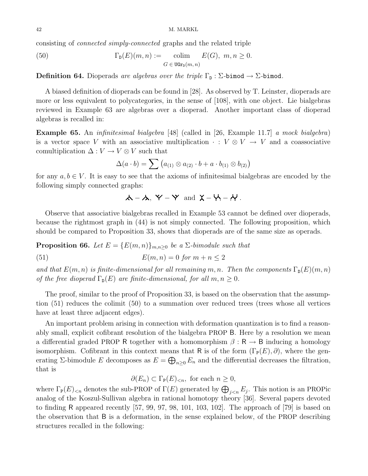consisting of connected simply-connected graphs and the related triple

(50) 
$$
\Gamma_{\mathbf{D}}(E)(m,n) := \underset{G \in \text{ UGr}_{\mathbf{D}}(m,n)}{\text{colim}} E(G), m, n \geq 0.
$$

**Definition 64.** Dioperads are algebras over the triple  $\Gamma_{\text{D}}$ :  $\Sigma$ -bimod  $\rightarrow$   $\Sigma$ -bimod.

A biased definition of dioperads can be found in [28]. As observed by T. Leinster, dioperads are more or less equivalent to polycategories, in the sense of [108], with one object. Lie bialgebras reviewed in Example 63 are algebras over a dioperad. Another important class of dioperad algebras is recalled in:

Example 65. An infinitesimal bialgebra [48] (called in [26, Example 11.7] a mock bialgebra) is a vector space V with an associative multiplication  $\cdot : V \otimes V \to V$  and a coassociative comultiplication  $\Delta: V \to V \otimes V$  such that

$$
\Delta(a \cdot b) = \sum (a_{(1)} \otimes a_{(2)} \cdot b + a \cdot b_{(1)} \otimes b_{(2)})
$$

for any  $a, b \in V$ . It is easy to see that the axioms of infinitesimal bialgebras are encoded by the following simply connected graphs:

 $\mathcal{A} - \mathcal{A}, \; \mathsf{Y} - \mathsf{Y}$  and  $\mathsf{X} - \mathsf{Y} - \mathsf{Y}$ .

Observe that associative bialgebras recalled in Example 53 cannot be defined over dioperads, because the rightmost graph in (44) is not simply connected. The following proposition, which should be compared to Proposition 33, shows that dioperads are of the same size as operads.

**Proposition 66.** Let  $E = \{E(m, n)\}_{m,n\geq 0}$  be a  $\Sigma$ -bimodule such that

(51)  $E(m, n) = 0 \text{ for } m + n \leq 2$ 

and that  $E(m, n)$  is finite-dimensional for all remaining m, n. Then the components  $\Gamma_{\text{D}}(E)(m, n)$ of the free dioperad  $\Gamma_{\text{D}}(E)$  are finite-dimensional, for all  $m, n \geq 0$ .

The proof, similar to the proof of Proposition 33, is based on the observation that the assumption (51) reduces the colimit (50) to a summation over reduced trees (trees whose all vertices have at least three adjacent edges).

An important problem arising in connection with deformation quantization is to find a reasonably small, explicit cofibrant resolution of the bialgebra PROP B. Here by a resolution we mean a differential graded PROP R together with a homomorphism  $\beta : \mathsf{R} \to \mathsf{B}$  inducing a homology isomorphism. Cofibrant in this context means that R is of the form  $(\Gamma_{\mathbb{P}}(E), \partial)$ , where the generating  $\Sigma$ -bimodule E decomposes as  $E = \bigoplus_{n \geq 0} E_n$  and the differential decreases the filtration, that is

$$
\partial(E_n) \subset \Gamma_{\mathbf{P}}(E)_{< n}, \text{ for each } n \ge 0,
$$

where  $\Gamma_{\mathsf{P}}(E)_{\leq n}$  denotes the sub-PROP of  $\Gamma(E)$  generated by  $\bigoplus_{j\leq n}E_j$ . This notion is an PROPic analog of the Koszul-Sullivan algebra in rational homotopy theory [36]. Several papers devoted to finding R appeared recently [57, 99, 97, 98, 101, 103, 102]. The approach of [79] is based on the observation that B is a deformation, in the sense explained below, of the PROP describing structures recalled in the following: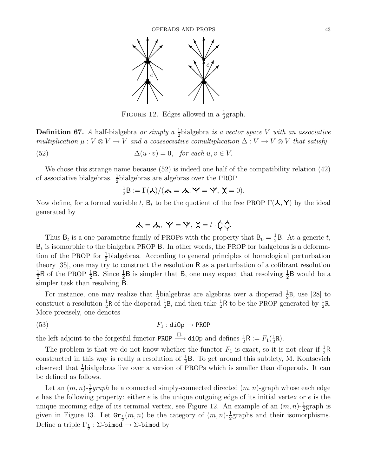

FIGURE 12. Edges allowed in a  $\frac{1}{2}$  $\frac{1}{2}$ graph.

**Definition 67.** A half-bialgebra or simply  $a \frac{1}{2}$  $\frac{1}{2}$ bialgebra *is a vector space V* with an associative multiplication  $\mu: V \otimes V \to V$  and a coassociative comultiplication  $\Delta: V \to V \otimes V$  that satisfy

(52) 
$$
\Delta(u \cdot v) = 0, \text{ for each } u, v \in V.
$$

We chose this strange name because (52) is indeed one half of the compatibility relation (42) of associative bialgebras.  $\frac{1}{2}$ bialgebras are algebras over the PROP

$$
\frac{1}{2}B := \Gamma(\lambda)/(\lambda = \lambda, Y = Y, \chi = 0).
$$

Now define, for a formal variable t,  $B_t$  to be the quotient of the free PROP  $\Gamma(\lambda, Y)$  by the ideal generated by

$$
\mathbf{A} = \mathbf{A}, \ \mathbf{Y} = \mathbf{Y}, \ \mathbf{X} = t \cdot \mathbf{X}.
$$

Thus  $B_t$  is a one-parametric family of PROPs with the property that  $B_0 = \frac{1}{2}$  $\frac{1}{2}$ B. At a generic t,  $B_t$  is isomorphic to the bialgebra PROP B. In other words, the PROP for bialgebras is a deformation of the PROP for  $\frac{1}{2}$ bialgebras. According to general principles of homological perturbation theory [35], one may try to construct the resolution R as a perturbation of a cofibrant resolution 1  $\frac{1}{2}R$  of the PROP  $\frac{1}{2}B$ . Since  $\frac{1}{2}B$  is simpler that B, one may expect that resolving  $\frac{1}{2}B$  would be a simpler task than resolving B.

For instance, one may realize that  $\frac{1}{2}$  bialgebras are algebras over a dioperad  $\frac{1}{2}$ B, use [28] to construct a resolution  $\frac{1}{2}R$  of the dioperad  $\frac{1}{2}B$ , and then take  $\frac{1}{2}$  $\frac{1}{2}$ R to be the PROP generated by  $\frac{1}{2}$  $\frac{1}{2}R$ . More precisely, one denotes

$$
F_1: \text{dip} \to \text{PROP}
$$

the left adjoint to the forgetful functor PROP  $\xrightarrow{\Box_1}$  diOp and defines  $\frac{1}{2}R := F_1(\frac{1}{2})$  $\frac{1}{2}R$ ).

The problem is that we do not know whether the functor  $F_1$  is exact, so it is not clear if  $\frac{1}{2}R$ constructed in this way is really a resolution of  $\frac{1}{2}B$ . To get around this subtlety, M. Kontsevich observed that  $\frac{1}{2}$  bialgebras live over a version of PROPs which is smaller than dioperads. It can be defined as follows.

Let an  $(m, n)$ - $\frac{1}{2}$  $\frac{1}{2}$ graph be a connected simply-connected directed  $(m, n)$ -graph whose each edge  $e$  has the following property: either  $e$  is the unique outgoing edge of its initial vertex or  $e$  is the unique incoming edge of its terminal vertex, see Figure 12. An example of an  $(m, n)$ - $\frac{1}{2}$ graph is given in Figure 13. Let  $\mathbf{Gr}_{\frac{1}{2}}(m,n)$  be the category of  $(m,n)-\frac{1}{2}$ graphs and their isomorphisms. Define a triple  $\Gamma_{\frac{1}{2}} : \Sigma$ -bimod  $\rightarrow$   $\Sigma$ -bimod by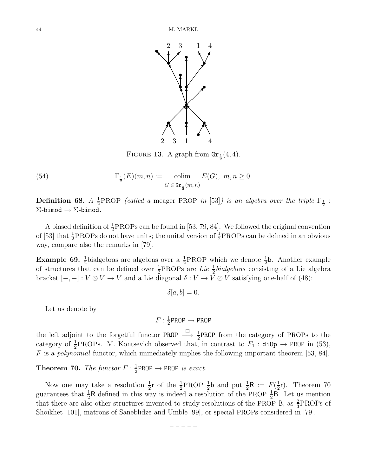

FIGURE 13. A graph from  $\text{Gr}_{\frac{1}{2}}(4, 4)$ .

 $(54)$  $\underline{1}_{2}(E)(m, n) :=$  colim  $G \in \texttt{Gr}_{\frac{1}{2}}(m,n)$  $E(G), m, n \geq 0.$ 

Definition 68.  $A\frac{1}{2}$  $\frac{1}{2}$ PROP (called a meager PROP in [53]) is an algebra over the triple  $\Gamma_{\frac{1}{2}}$  :  $\Sigma$ -bimod  $\rightarrow$   $\Sigma$ -bimod.

A biased definition of  $\frac{1}{2}$ PROPs can be found in [53, 79, 84]. We followed the original convention of [53] that  $\frac{1}{2}$ PROPs do not have units; the unital version of  $\frac{1}{2}$ PROPs can be defined in an obvious way, compare also the remarks in [79].

**Example 69.**  $\frac{1}{2}$ bialgebras are algebras over a  $\frac{1}{2}$  $\frac{1}{2}$ PROP which we denote  $\frac{1}{2}$ b. Another example of structures that can be defined over  $\frac{1}{2}$ PROPs are *Lie*  $\frac{1}{2}$ *bialgebras* consisting of a Lie algebra bracket  $[-,-]: V \otimes V \to V$  and a Lie diagonal  $\delta: V \to V \otimes V$  satisfying one-half of (48):

$$
\delta[a, b] = 0.
$$

Let us denote by

$$
F: \tfrac{1}{2}\text{PROP} \to \text{PROP}
$$

the left adjoint to the forgetful functor PROP  $\stackrel{\Box}{\longrightarrow} \frac{1}{2}$ PROP from the category of PROPs to the category of  $\frac{1}{2}$ PROPs. M. Kontsevich observed that, in contrast to  $F_1$ : diOp  $\rightarrow$  PROP in (53),  $F$  is a *polynomial* functor, which immediately implies the following important theorem [53, 84].

**Theorem 70.** The functor  $F: \frac{1}{2}$  $\frac{1}{2}$ PROP  $\rightarrow$  PROP is exact.

Now one may take a resolution  $\frac{1}{2}$ **r** of the  $\frac{1}{2}$ PROP  $\frac{1}{2}$ **b** and put  $\frac{1}{2}$ **R** :=  $F(\frac{1}{2})$  $\frac{1}{2}$ r). Theorem 70 guarantees that  $\frac{1}{2}R$  defined in this way is indeed a resolution of the PROP  $\frac{1}{2}B$ . Let us mention that there are also other structures invented to study resolutions of the PROP B, as  $\frac{2}{3}$ PROPs of Shoikhet [101], matrons of Saneblidze and Umble [99], or special PROPs considered in [79].

– – – – –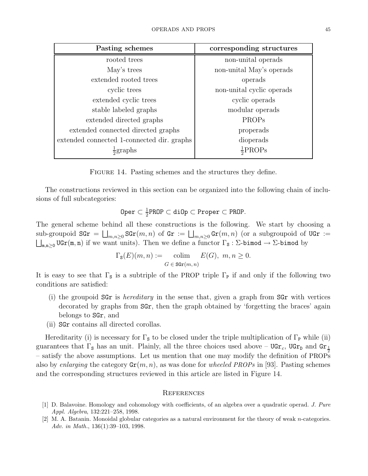| Pasting schemes                            | corresponding structures  |
|--------------------------------------------|---------------------------|
| rooted trees                               | non-unital operads        |
| May's trees                                | non-unital May's operads  |
| extended rooted trees                      | operads                   |
| cyclic trees                               | non-unital cyclic operads |
| extended cyclic trees                      | cyclic operads            |
| stable labeled graphs                      | modular operads           |
| extended directed graphs                   | PROPs                     |
| extended connected directed graphs         | properads                 |
| extended connected 1-connected dir. graphs | dioperads                 |
| $\frac{1}{2}$ graphs                       | $\frac{1}{2}$ PROPs       |

FIGURE 14. Pasting schemes and the structures they define.

The constructions reviewed in this section can be organized into the following chain of inclusions of full subcategories:

$$
0per ⊂ 12PR0P ⊂  $\text{dilp}$  ⊂  $\text{Proper}$  ⊂  $\text{PR0P}$ .
$$

The general scheme behind all these constructions is the following. We start by choosing a  $\text{sub-groupoid } \text{SGr} = \bigsqcup_{m,n\geq 0} \text{SGr}(m,n) \text{ of } \text{Gr} := \bigsqcup_{m,n\geq 0} \text{Gr}(m,n)$  (or a subgroupoid of  $\text{UGr} := \bigsqcup_{m,n\geq 0} \text{SGr}(m,n)$  $\bigsqcup_{m,n\geq 0} \text{UGr}(m,n)$  if we want units). Then we define a functor  $\Gamma_{\mathbf{S}}: \Sigma$ -bimod  $\rightarrow \Sigma$ -bimod by

$$
\Gamma_{\mathbf{s}}(E)(m, n) := \text{colim}_{G \in \text{SGr}(m, n)} E(G), \ m, n \ge 0.
$$

It is easy to see that  $\Gamma_s$  is a subtriple of the PROP triple  $\Gamma_p$  if and only if the following two conditions are satisfied:

- (i) the groupoid  $SGr$  is *hereditary* in the sense that, given a graph from  $SGr$  with vertices decorated by graphs from SGr, then the graph obtained by 'forgetting the braces' again belongs to SGr, and
- (ii) SGr contains all directed corollas.

Hereditarity (i) is necessary for  $\Gamma_s$  to be closed under the triple multiplication of  $\Gamma_P$  while (ii) guarantees that  $\Gamma_s$  has an unit. Plainly, all the three choices used above – UGr<sub>c</sub>, UGr<sub>D</sub> and Gr<sub>1</sub><sup>2</sup> – satisfy the above assumptions. Let us mention that one may modify the definition of PROPs also by enlarging the category  $\text{Gr}(m, n)$ , as was done for wheeled PROPs in [93]. Pasting schemes and the corresponding structures reviewed in this article are listed in Figure 14.

#### **REFERENCES**

- [1] D. Balavoine. Homology and cohomology with coefficients, of an algebra over a quadratic operad. J. Pure Appl. Algebra, 132:221–258, 1998.
- [2] M. A. Batanin. Monoidal globular categories as a natural environment for the theory of weak n-categories. Adv. in Math., 136(1):39–103, 1998.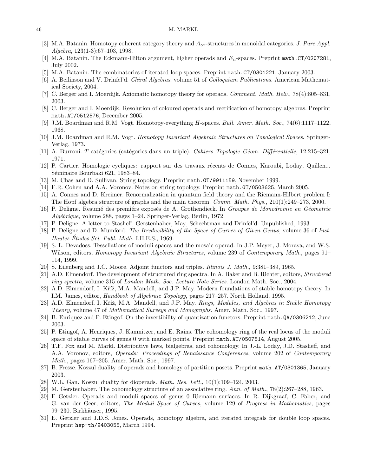#### 46 M. MARKL

- [3] M.A. Batanin. Homotopy coherent category theory and  $A_{\infty}$ -structures in monoidal categories. J. Pure Appl. Algebra, 123(1-3):67–103, 1998.
- [4] M.A. Batanin. The Eckmann-Hilton argument, higher operads and  $E_n$ -spaces. Preprint math.CT/0207281, July 2002.
- [5] M.A. Batanin. The combinatorics of iterated loop spaces. Preprint math.CT/0301221, January 2003.
- [6] A. Beilinson and V. Drinfel'd. Chiral Algebras, volume 51 of Colloquium Publications. American Mathematical Society, 2004.
- [7] C. Berger and I. Moerdijk. Axiomatic homotopy theory for operads. Comment. Math. Helv., 78(4):805–831, 2003.
- [8] C. Berger and I. Moerdijk. Resolution of coloured operads and rectification of homotopy algebras. Preprint math.AT/0512576, December 2005.
- [9] J.M. Boardman and R.M. Vogt. Homotopy-everything H-spaces. Bull. Amer. Math. Soc., 74(6):1117–1122, 1968.
- [10] J.M. Boardman and R.M. Vogt. Homotopy Invariant Algebraic Structures on Topological Spaces. Springer-Verlag, 1973.
- [11] A. Burroni. T-catégories (catégories dans un triple). Cahiers Topologie Géom. Différentielle, 12:215–321, 1971.
- [12] P. Cartier. Homologie cycliques: rapport sur des travaux récents de Connes, Karoubi, Loday, Quillen... Séminaire Bourbaki 621, 1983–84.
- [13] M. Chas and D. Sullivan. String topology. Preprint math.GT/9911159, November 1999.
- [14] F.R. Cohen and A.A. Voronov. Notes on string topology. Preprint math.GT/0503625, March 2005.
- [15] A. Connes and D. Kreimer. Renormalization in quantum field theory and the Riemann-Hilbert problem I: The Hopf algebra structure of graphs and the main theorem. Comm. Math. Phys., 210(1):249–273, 2000.
- [16] P. Deligne. Resumé des premiérs exposés de A. Grothendieck. In *Groupes de Monodromie en Géometrie* Alg´ebrique, volume 288, pages 1–24. Springer-Verlag, Berlin, 1972.
- [17] P. Deligne. A letter to Stasheff, Gerstenhaber, May, Schechtman and Drinfel'd. Unpublished, 1993.
- [18] P. Deligne and D. Mumford. The Irreducibility of the Space of Curves of Given Genus, volume 36 of Inst. Hautes Études Sci. Publ. Math. I.H.E.S., 1969.
- [19] S. L. Devadoss. Tessellations of moduli spaces and the mosaic operad. In J.P. Meyer, J. Morava, and W.S. Wilson, editors, *Homotopy Invariant Algebraic Structures*, volume 239 of *Contemporary Math.*, pages 91– 114, 1999.
- [20] S. Eilenberg and J.C. Moore. Adjoint functors and triples. Illinois J. Math., 9:381–389, 1965.
- [21] A.D. Elmendorf. The development of structured ring spectra. In A. Baker and B. Richter, editors, *Structured* ring spectra, volume 315 of London Math. Soc. Lecture Note Series. London Math. Soc., 2004.
- [22] A.D. Elmendorf, I. Kříž, M.A. Mandell, and J.P. May. Modern foundations of stable homotopy theory. In I.M. James, editor, Handbook of Algebraic Topology, pages 217–257. North Holland, 1995.
- [23] A.D. Elmendorf, I. Kříž, M.A. Mandell, and J.P. May. Rings, Modules, and Algebras in Stable Homotopy Theory, volume 47 of Mathematical Surveys and Monographs. Amer. Math. Soc., 1997.
- [24] B. Enriquez and P. Etingof. On the invertibility of quantization functors. Preprint math.QA/0306212, June 2003.
- [25] P. Etingof, A. Henriques, J. Kamnitzer, and E. Rains. The cohomology ring of the real locus of the moduli space of stable curves of genus 0 with marked points. Preprint math.AT/0507514, August 2005.
- [26] T.F. Fox and M. Markl. Distributive laws, bialgebras, and cohomology. In J.-L. Loday, J.D. Stasheff, and A.A. Voronov, editors, *Operads: Proceedings of Renaissance Conferences*, volume 202 of *Contemporary* Math., pages 167–205. Amer. Math. Soc., 1997.
- [27] B. Fresse. Koszul duality of operads and homology of partition posets. Preprint math.AT/0301365, January 2003.
- [28] W.L. Gan. Koszul duality for dioperads. *Math. Res. Lett.*,  $10(1):109-124$ ,  $2003$ .
- [29] M. Gerstenhaber. The cohomology structure of an associative ring. Ann. of Math., 78(2):267–288, 1963.
- [30] E Getzler. Operads and moduli spaces of genus 0 Riemann surfaces. In R. Dijkgraaf, C. Faber, and G. van der Geer, editors, The Moduli Space of Curves, volume 129 of Progress in Mathematics, pages 99–230. Birkhäuser, 1995.
- [31] E. Getzler and J.D.S. Jones. Operads, homotopy algebra, and iterated integrals for double loop spaces. Preprint hep-th/9403055, March 1994.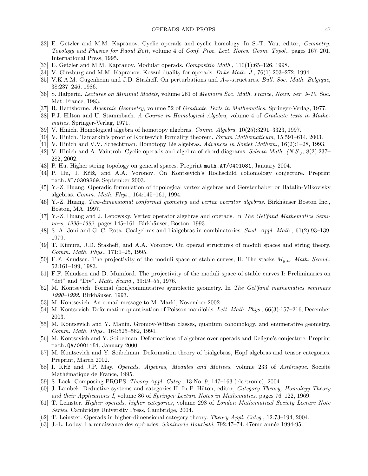- [32] E. Getzler and M.M. Kapranov. Cyclic operads and cyclic homology. In S.-T. Yau, editor, Geometry, Topology and Physics for Raoul Bott, volume 4 of Conf. Proc. Lect. Notes. Geom. Topol., pages 167–201. International Press, 1995.
- [33] E. Getzler and M.M. Kapranov. Modular operads. Compositio Math., 110(1):65–126, 1998.
- [34] V. Ginzburg and M.M. Kapranov. Koszul duality for operads. Duke Math. J., 76(1):203–272, 1994.
- [35] V.K.A.M. Gugenheim and J.D. Stasheff. On perturbations and  $A_{\infty}$ -structures. Bull. Soc. Math. Belgique, 38:237–246, 1986.
- [36] S. Halperin. Lectures on Minimal Models, volume 261 of Memoirs Soc. Math. France, Nouv. Ser. 9-10. Soc. Mat. France, 1983.
- [37] R. Hartshorne. Algebraic Geometry, volume 52 of Graduate Texts in Mathematics. Springer-Verlag, 1977.
- [38] P.J. Hilton and U. Stammbach. A Course in Homological Algebra, volume 4 of Graduate texts in Mathematics. Springer-Verlag, 1971.
- [39] V. Hinich. Homological algebra of homotopy algebras. *Comm. Algebra*,  $10(25):3291-3323$ , 1997.
- [40] V. Hinich. Tamarkin's proof of Kontsevich formality theorem. Forum Mathematicum, 15:591–614, 2003.
- [41] V. Hinich and V.V. Schechtman. Homotopy Lie algebras. Advances in Soviet Mathem., 16(2):1–28, 1993.
- [42] V. Hinich and A. Vaintrob. Cyclic operads and algebra of chord diagrams. Selecta Math. (N.S.), 8(2):237– 282, 2002.
- [43] P. Hu. Higher string topology on general spaces. Preprint math.AT/0401081, January 2004.
- [44] P. Hu, I. Kříž, and A.A. Voronov. On Kontsevich's Hochschild cohomology conjecture. Preprint math.AT/0309369, September 2003.
- [45] Y.-Z. Huang. Operadic formulation of topological vertex algebras and Gerstenhaber or Batalin-Vilkovisky algebras. Comm. Math. Phys., 164:145–161, 1994.
- [46] Y.-Z. Huang. Two-dimensional conformal geometry and vertex operator algebras. Birkhäuser Boston Inc., Boston, MA, 1997.
- [47] Y.-Z. Huang and J. Lepowsky. Vertex operator algebras and operads. In The Gel'fand Mathematics Seminars, 1990–1992, pages 145–161. Birkhäuser, Boston, 1993.
- [48] S. A. Joni and G.-C. Rota. Coalgebras and bialgebras in combinatorics. Stud. Appl. Math., 61(2):93–139, 1979.
- [49] T. Kimura, J.D. Stasheff, and A.A. Voronov. On operad structures of moduli spaces and string theory. Comm. Math. Phys., 171:1–25, 1995.
- [50] F.F. Knudsen. The projectivity of the moduli space of stable curves, II: The stacks  $M_{q,n}$ . Math. Scand., 52:161–199, 1983.
- [51] F.F. Knudsen and D. Mumford. The projectivity of the moduli space of stable curves I: Preliminaries on "det" and "Div". Math. Scand., 39:19–55, 1976.
- [52] M. Kontsevich. Formal (non)commutative symplectic geometry. In The Gel'fand mathematics seminars 1990–1992. Birkhäuser, 1993.
- [53] M. Kontsevich. An e-mail message to M. Markl, November 2002.
- [54] M. Kontsevich. Deformation quantization of Poisson manifolds. Lett. Math. Phys., 66(3):157–216, December 2003.
- [55] M. Kontsevich and Y. Manin. Gromov-Witten classes, quantum cohomology, and enumerative geometry. Comm. Math. Phys., 164:525–562, 1994.
- [56] M. Kontsevich and Y. Soibelman. Deformations of algebras over operads and Deligne's conjecture. Preprint math.QA/0001151, January 2000.
- [57] M. Kontsevich and Y. Soibelman. Deformation theory of bialgebras, Hopf algebras and tensor categories. Preprint, March 2002.
- [58] I. Kříž and J.P. May. Operads, Algebras, Modules and Motives, volume 233 of Astérisque. Société Mathématique de France, 1995.
- [59] S. Lack. Composing PROPS. *Theory Appl. Categ.*, 13:No. 9, 147–163 (electronic), 2004.
- [60] J. Lambek. Deductive systems and categories II. In P. Hilton, editor, Category Theory, Homology Theory and their Applications I, volume 86 of Springer Lecture Notes in Mathematics, pages 76–122, 1969.
- [61] T. Leinster. Higher operads, higher categories, volume 298 of London Mathematical Society Lecture Note Series. Cambridge University Press, Cambridge, 2004.
- [62] T. Leinster. Operads in higher-dimensional category theory. Theory Appl. Categ., 12:73–194, 2004.
- [63] J.-L. Loday. La renaissance des opérades. Séminarie Bourbaki, 792:47–74. 47ème année 1994-95.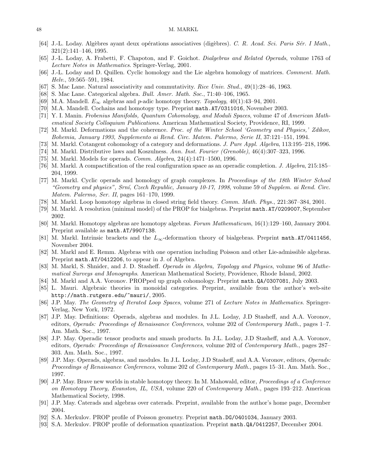#### 48 M. MARKL

- [64] J.-L. Loday. Algèbres ayant deux opérations associatives (digèbres). C. R. Acad. Sci. Paris Sér. I Math., 321(2):141–146, 1995.
- [65] J.-L. Loday, A. Frabetti, F. Chapoton, and F. Goichot. Dialgebras and Related Operads, volume 1763 of Lecture Notes in Mathematics. Springer-Verlag, 2001.
- [66] J.-L. Loday and D. Quillen. Cyclic homology and the Lie algebra homology of matrices. Comment. Math. Helv., 59:565–591, 1984.
- [67] S. Mac Lane. Natural associativity and commutativity. Rice Univ. Stud., 49(1):28–46, 1963.
- [68] S. Mac Lane. Categorical algebra. Bull. Amer. Math. Soc., 71:40–106, 1965.
- [69] M.A. Mandell.  $E_{\infty}$  algebras and p-adic homotopy theory. Topology, 40(1):43–94, 2001.
- [70] M.A. Mandell. Cochains and homotopy type. Preprint math.AT/0311016, November 2003.
- [71] Y. I. Manin. Frobenius Manifolds, Quantum Cohomology, and Moduli Spaces, volume 47 of American Mathematical Society Colloquium Publications. American Mathematical Society, Providence, RI, 1999.
- [72] M. Markl. Deformations and the coherence. Proc. of the Winter School 'Geometry and Physics,' Zdíkov, Bohemia, January 1993, Supplemento ai Rend. Circ. Matem. Palermo, Serie II, 37:121–151, 1994.
- [73] M. Markl. Cotangent cohomology of a category and deformations. J. Pure Appl. Algebra, 113:195–218, 1996.
- [74] M. Markl. Distributive laws and Koszulness. Ann. Inst. Fourier (Grenoble), 46(4):307–323, 1996.
- [75] M. Markl. Models for operads.  $Comm. Algebra$ ,  $24(4):1471-1500$ , 1996.
- [76] M. Markl. A compactification of the real configuration space as an operadic completion. *J. Algebra*, 215:185– 204, 1999.
- [77] M. Markl. Cyclic operads and homology of graph complexes. In Proceedings of the 18th Winter School "Geometry and physics", Srní, Czech Republic, January 10-17, 1998, volume 59 of Supplem. ai Rend. Circ. Matem. Palermo, Ser. II, pages 161–170, 1999.
- [78] M. Markl. Loop homotopy algebras in closed string field theory. Comm. Math. Phys., 221:367–384, 2001.
- [79] M. Markl. A resolution (minimal model) of the PROP for bialgebras. Preprint math.AT/0209007, September 2002.
- [80] M. Markl. Homotopy algebras are homotopy algebras. Forum Mathematicum, 16(1):129–160, January 2004. Preprint available as math.AT/9907138.
- [81] M. Markl. Intrinsic brackets and the  $L_{\infty}$ -deformation theory of bialgebras. Preprint math.AT/0411456, November 2004.
- [82] M. Markl and E. Remm. Algebras with one operation including Poisson and other Lie-admissible algebras. Preprint math.AT/0412206, to appear in J. of Algebra.
- [83] M. Markl, S. Shnider, and J. D. Stasheff. Operads in Algebra, Topology and Physics, volume 96 of Mathematical Surveys and Monographs. American Mathematical Society, Providence, Rhode Island, 2002.
- [84] M. Markl and A.A. Voronov. PROPped up graph cohomology. Preprint math.QA/0307081, July 2003.
- [85] L. Mauri. Algebraic theories in monoidal categories. Preprint, available from the author's web-site http://math.rutgers.edu/~mauri/, 2005.
- [86] J.P. May. The Geometry of Iterated Loop Spaces, volume 271 of Lecture Notes in Mathematics. Springer-Verlag, New York, 1972.
- [87] J.P. May. Definitions: Operads, algebras and modules. In J.L. Loday, J.D Stasheff, and A.A. Voronov, editors, Operads: Proceedings of Renaissance Conferences, volume 202 of Contemporary Math., pages 1–7. Am. Math. Soc., 1997.
- [88] J.P. May. Operadic tensor products and smash products. In J.L. Loday, J.D Stasheff, and A.A. Voronov, editors, Operads: Proceedings of Renaissance Conferences, volume 202 of Contemporary Math., pages 287– 303. Am. Math. Soc., 1997.
- [89] J.P. May. Operads, algebras, and modules. In J.L. Loday, J.D Stasheff, and A.A. Voronov, editors, Operads: Proceedings of Renaissance Conferences, volume 202 of Contemporary Math., pages 15–31. Am. Math. Soc., 1997.
- [90] J.P. May. Brave new worlds in stable homotopy theory. In M. Mahowald, editor, *Proceedings of a Conference* on Homotopy Theory, Evanston, IL, USA, volume 220 of Contemporary Math., pages 193–212. American Mathematical Society, 1998.
- [91] J.P. May. Caterads and algebras over caterads. Preprint, available from the author's home page, December 2004.
- [92] S.A. Merkulov. PROP profile of Poisson geometry. Preprint math.DG/0401034, January 2003.
- [93] S.A. Merkulov. PROP profile of deformation quantization. Preprint math.QA/0412257, December 2004.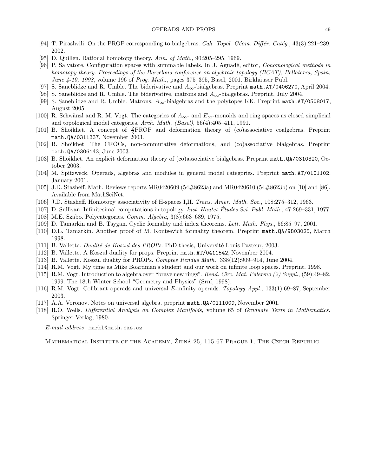- [94] T. Pirashvili. On the PROP corresponding to bialgebras. Cah. Topol. Géom. Différ. Catég.,  $43(3):221-239$ , 2002.
- [95] D. Quillen. Rational homotopy theory. Ann. of Math., 90:205–295, 1969.
- [96] P. Salvatore. Configuration spaces with summable labels. In J. Aguadé, editor, *Cohomological methods in* homotopy theory. Proceedings of the Barcelona conference on algebraic topology (BCAT), Bellaterra, Spain, June  $4-10$ , 1998, volume 196 of Prog. Math., pages 375–395, Basel, 2001. Birkhäuser Publ.
- [97] S. Saneblidze and R. Umble. The biderivative and  $A_{\infty}$ -bialgebras. Preprint math.AT/0406270, April 2004.
- [98] S. Saneblidze and R. Umble. The biderivative, matrons and  $A_{\infty}$ -bialgebras. Preprint, July 2004.
- [99] S. Saneblidze and R. Umble. Matrons,  $A_{\infty}$ -bialgebras and the polytopes KK. Preprint math.AT/0508017, August 2005.
- [100] R. Schwänzl and R. M. Vogt. The categories of  $A_{\infty}$  and  $E_{\infty}$ -monoids and ring spaces as closed simplicial and topological model categories. Arch. Math. (Basel), 56(4):405–411, 1991.
- [101] B. Shoikhet. A concept of  $\frac{2}{3}$ PROP and deformation theory of (co)associative coalgebras. Preprint math.QA/0311337, November 2003.
- [102] B. Shoikhet. The CROCs, non-commutative deformations, and (co)associative bialgebras. Preprint math.QA/0306143, June 2003.
- [103] B. Shoikhet. An explicit deformation theory of (co)associative bialgebras. Preprint math.QA/0310320, October 2003.
- [104] M. Spitzweck. Operads, algebras and modules in general model categories. Preprint math.AT/0101102, January 2001.
- [105] J.D. Stasheff. Math. Reviews reports MR0420609 (54#8623a) and MR0420610 (54#8623b) on [10] and [86]. Available from MathSciNet.
- [106] J.D. Stasheff. Homotopy associativity of H-spaces I,II. Trans. Amer. Math. Soc., 108:275–312, 1963.
- [107] D. Sullivan. Infinitesimal computations in topology. *Inst. Hautes Études Sci. Publ. Math.*, 47:269–331, 1977.
- [108] M.E. Szabo. Polycategories. Comm. Algebra, 3(8):663–689, 1975.
- [109] D. Tamarkin and B. Tsygan. Cyclic formality and index theorems. Lett. Math. Phys., 56:85–97, 2001.
- [110] D.E. Tamarkin. Another proof of M. Kontsevich formality theorem. Preprint math.QA/9803025, March 1998.
- [111] B. Vallette. *Dualité de Koszul des PROPs*. PhD thesis, Université Louis Pasteur, 2003.
- [112] B. Vallette. A Koszul duality for props. Preprint math.AT/0411542, November 2004.
- [113] B. Vallette. Koszul duality for PROPs. Comptes Rendus Math., 338(12):909–914, June 2004.
- [114] R.M. Vogt. My time as Mike Boardman's student and our work on infinite loop spaces. Preprint, 1998.
- [115] R.M. Vogt. Introduction to algebra over "brave new rings". Rend. Circ. Mat. Palermo (2) Suppl., (59):49–82, 1999. The 18th Winter School "Geometry and Physics" (Srní, 1998).
- [116] R.M. Vogt. Cofibrant operads and universal E-infinity operads. Topology Appl., 133(1):69–87, September 2003.
- [117] A.A. Voronov. Notes on universal algebra. preprint math.QA/0111009, November 2001.
- [118] R.O. Wells. Differential Analysis on Complex Manifolds, volume 65 of Graduate Texts in Mathematics. Springer-Verlag, 1980.

E-mail address: markl@math.cas.cz

MATHEMATICAL INSTITUTE OF THE ACADEMY, ŽITNÁ 25, 115 67 PRAGUE 1, THE CZECH REPUBLIC